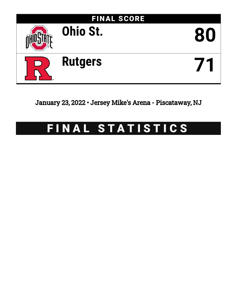

January 23, 2022 • Jersey Mike's Arena - Piscataway, NJ

# FINAL STATISTICS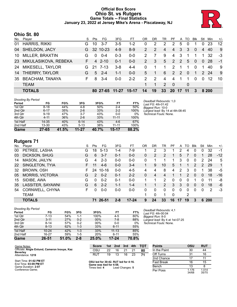# **Official Box Score Ohio St. vs Rutgers Game Totals -- Final Statistics January 23, 2022 at Jersey Mike's Arena - Piscataway, NJ**



# **Ohio St. 80**

|     | <b>TOTALS</b>          |    |          | 80 27-65  | 11-27   | $15-17$ | 14            | 19             | 33             | <b>20</b>      | 17 | $\overline{11}$ | 3           |             | 8 200             |       |
|-----|------------------------|----|----------|-----------|---------|---------|---------------|----------------|----------------|----------------|----|-----------------|-------------|-------------|-------------------|-------|
|     | <b>TEAM</b>            |    |          |           |         |         |               | $\overline{1}$ | $\mathcal{P}$  | - 0            |    | 0               |             |             |                   |       |
| 35  | <b>BEACHAM, TANAYA</b> | F. | 8        | $3-4$     | $0 - 0$ | $2 - 2$ | $\mathcal{P}$ | $\mathcal{P}$  | $\overline{4}$ | $\overline{4}$ |    |                 | $\Omega$    | $\Omega$    | $12 \overline{ }$ | 10    |
| 14  | THIERRY, TAYLOR        | G  | 5        | $-2-4$    | $1 - 1$ | $0 - 0$ | 5.            | 1              | 6              | 2              | 2  | $\Omega$        | 1           |             | 2 24              | -9    |
| 24  | MIKESELL, TAYLOR       | G. | -21      | 7-13      | $3 - 8$ | $4 - 4$ | $\Omega$      |                | 1.             | 2              |    |                 | $\Omega$    | 1           | 40                | -9    |
| 23  | MIKULASIKOVA, REBEKA   | F. |          | $4\,2-10$ | $0 - 1$ | $0 - 0$ | 2             | 3              | 5              | 2              | 2  | $5^{\circ}$     | $\Omega$    | $\Omega$    | -28               | $-1$  |
| 10  | <b>MILLER, BRAXTIN</b> | G  | $\Omega$ | $0 - 4$   | $0 - 3$ | $0 - 0$ | 2             |                | 9              | $\overline{4}$ | 3  |                 |             | $\mathbf 1$ | 32                | -3    |
|     | 04 SHELDON, JACY       | G. |          | 32 10-23  | $4 - 9$ | $8-9$   | 2             | 2              | $\overline{4}$ | $\overline{4}$ | 3  | 3               | $\Omega$    | 4           | 40                | 9     |
| 01  | <b>HARRIS, RIKKI</b>   | G  | 10       | $3 - 7$   | $3-5$   | $1 - 2$ | $\Omega$      | 2              | 2              | 2              | 5  | $\mathbf{0}$    |             | $\Omega$    | 23                | 12    |
| No. | Player                 | S  | Pts      | FG        | 3FG     | FT      | OR            | <b>DR</b>      | TR             | PF             |    | A TO            | <b>B</b> lk | Stl         | Min               | $+/-$ |

| <b>Shooting By Period</b> |   |
|---------------------------|---|
| Period                    | F |

| Period   | FG        | FG%   | 3FG       | 3FG%  | FΤ        | FT%   |
|----------|-----------|-------|-----------|-------|-----------|-------|
| 1st Qtr  | $8 - 18$  | 44%   | 4-8       | 50%   | $2 - 4$   | 50%   |
| 2nd Qtr  | $6 - 17$  | 35%   | $2 - 6$   | 33%   | $2 - 2$   | 100%  |
| 3rd Qtr  | $9 - 19$  | 47%   | $3 - 7$   | 43%   | $0 - 0$   | 0%    |
| 4th Qtr  | $4 - 11$  | 36%   | $2 - 6$   | 33%   | $11 - 11$ | 100%  |
| 1st Half | $14 - 35$ | 40%   | $6 - 14$  | 43%   | $4-6$     | 67%   |
| 2nd Half | $13 - 30$ | 43%   | $5 - 13$  | 38%   | $11 - 11$ | 100%  |
| Game     | $27 - 65$ | 41.5% | $11 - 27$ | 40.7% | 15-17     | 88.2% |

*Deadball Rebounds:* 1,0 *Last FG:* 4th-01:42 *Biggest Run:* 10-0 *Largest lead:* By 14 at 4th-08:45 *Technical Fouls:* None.

# **Rutgers 71**

| No. | ີ<br>Player             | S  | Pts            | FG        | 3FG     | FТ        | 0R | DR | TR             | РF       | A  | TO | Blk      | Stl | Min        | $+/-$        |
|-----|-------------------------|----|----------------|-----------|---------|-----------|----|----|----------------|----------|----|----|----------|-----|------------|--------------|
| 00  | PETREE, LASHA           | G  | 18             | $5 - 13$  | 1-4     | $7-9$     |    | 2  | 3              |          | 2  | 4  | 0        | 0   | 32         | $-1$         |
| 03  | DICKSON, SHUG           | G  | 6              | $3 - 7$   | $0 - 1$ | $0 - 0$   | 0  | 2  | 2              |          | 5  |    | $\Omega$ |     | 28         | $-12$        |
| 14  | MASON, JAILYN           | G  | 4              | $2 - 3$   | $0 - 0$ | $0-0$     | 0  |    |                |          | 3  | 0  | 0        | 2   | 24         | 5            |
| 22  | SINGLETON, TYIA         | F. | 11             | $4-6$     | $0 - 0$ | $3 - 4$   |    | 9  | 10             | 5        |    |    | 2        | 2   | 29         | $\mathbf{1}$ |
| 32  | BROWN, OSH              | F. | 24             | $10 - 16$ | $0 - 0$ | $4 - 5$   | 4  | 4  | 8              | 4        | 2  | 3  | 0        |     | 38         | -5           |
| 05  | <b>MORRIS, VICTORIA</b> | G  | $\overline{2}$ | $0 - 2$   | $0 - 1$ | $2 - 2$   | 0  | 4  | 4              |          |    | 2  | $\Omega$ | 0   | 18         | $-16$        |
| 15  | SIDIBE, AWA             | G  | 0              | $0 - 2$   | $0 - 1$ | $0 - 0$   |    |    | 2              | 0        | 0  | 0  |          | 0   | 11         | -8           |
| 35  | LASSITER, SAYAWNI       | G  | 6              | $2 - 2$   | $1 - 1$ | $1 - 4$   |    |    | $\overline{2}$ | 3        | 3  | 0  | $\Omega$ | 0   | 18         | -6           |
| 54  | CORNWELL, CHYNA         | F  | 0              | $0-0$     | $0-0$   | $0-0$     | 0  | 0  | $\Omega$       | $\Omega$ | 0  | 0  | $\Omega$ | 0   | 2          | $-3$         |
|     | <b>TEAM</b>             |    |                |           |         |           |    | 0  |                | $\Omega$ |    | 2  |          |     |            |              |
|     | <b>TOTALS</b>           |    | 71             | 26-51     | $2 - 8$ | $17 - 24$ | 9  | 24 | 33             | 16       | 17 | 19 | 3        | 6   | <b>200</b> |              |

| <b>Shooting By Period</b> |           |       |         |       |           |       | Dead         |
|---------------------------|-----------|-------|---------|-------|-----------|-------|--------------|
| Period                    | FG        | FG%   | 3FG     | 3FG%  | FT        | FT%   | Last .       |
| 1st Qtr                   | $7 - 13$  | 54%   | 1-1     | 100%  | $4 - 5$   | 80%   | <b>Bigge</b> |
| 2nd Qtr                   | $3 - 11$  | 27%   | $0 - 2$ | 00%   | $7 - 8$   | 88%   | Large        |
| 3rd Qtr                   | $8 - 14$  | 57%   | $0 - 2$ | 00%   | $0 - 0$   | 0%    | Techi        |
| 4th Qtr                   | $8 - 13$  | 62%   | $1 - 3$ | 33%   | $6 - 11$  | 55%   |              |
| 1st Half                  | $10 - 24$ | 42%   | $1 - 3$ | 33%   | $11 - 13$ | 85%   |              |
| 2nd Half                  | 16-27     | 59%   | 1-5     | 20%   | $6 - 11$  | 55%   |              |
| Game                      | 26-51     | 51.0% | $2 - 8$ | 25.0% | 17-24     | 70.8% |              |

*Deadball Rebounds:* 4,1 *Last FG:* 4th-00:04 *Biggest Run:* 8-0 *Largest lead:* By 4 at 1st-07:25 *Technical Fouls:* None.

| Game Notes:                                      | <b>Score</b>                             |    | 1st 2nd         | 3rd | 4th | <b>TOT</b> | <b>Points</b> | OSU            | <b>RUT</b>     |
|--------------------------------------------------|------------------------------------------|----|-----------------|-----|-----|------------|---------------|----------------|----------------|
| Officials: Angie Enlund, Cameron Inouye, Kaz     | OSL                                      | 22 | 16              | 21  |     | 80         | In the Paint  | 30             | 44             |
| <b>Beverley</b><br>Attendance: 1219              | RUT                                      | 19 | 13              | 16  | 23  | 71         | Off Turns     | 31             | 16             |
|                                                  |                                          |    |                 |     |     |            | 2nd Chance    |                | 11             |
| Start Time: 01:02 PM ET<br>End Time: 03:09 PM ET | OSU led for 30:42. RUT led for 4:16.     |    |                 |     |     |            | Fast Break    | 16             | 15             |
| Game Duration: 2:07                              | Game was tied for 4:58.<br>Times tied: 4 |    | Lead Changes: 5 |     |     |            | Bench         |                |                |
| Conference Game;                                 |                                          |    |                 |     |     |            | Per Poss      | 1.176<br>34/68 | 1.014<br>35/70 |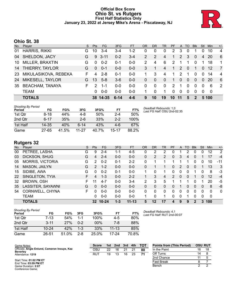### **Official Box Score Ohio St. vs Rutgers First Half Statistics Only January 23, 2022 at Jersey Mike's Arena - Piscataway, NJ**



# **Ohio St. 38**

| No. | Player                 | S. | Pts      | <b>FG</b> | 3FG      | <b>FT</b> | <b>OR</b>      | <b>DR</b> | <b>TR</b>    | <b>PF</b> |                 | A TO         | <b>BIK</b>       | Stl      | Min       | $+/-$          |
|-----|------------------------|----|----------|-----------|----------|-----------|----------------|-----------|--------------|-----------|-----------------|--------------|------------------|----------|-----------|----------------|
| 01  | <b>HARRIS, RIKKI</b>   | G. | 10       | $3 - 4$   | 3-4      | $1 - 2$   | 0              | 0         | 0            | 2         | 3               | 0            |                  | 0        | 10        | 4              |
| 04  | SHELDON, JACY          | G  | 9        | $3 - 11$  | $0 - 2$  | $3 - 4$   | $\overline{2}$ | 2         | 4            | 1         | 2               | 3            | $\mathbf{0}$     | 4        | -20       | - 6            |
| 10  | MILLER, BRAXTIN        | G  | $\Omega$ | $0 - 2$   | $0 - 1$  | $0 - 0$   | 2              | 4         | 6            | 2         |                 |              | 0                |          | 18        | 1              |
| 14  | THIERRY, TAYLOR        | G  | $\Omega$ | $0 - 1$   | $0 - 0$  | $0 - 0$   | 3              | 1         | 4            | 1         | 2               | $\Omega$     | 1                | $\Omega$ | -12       | $\overline{7}$ |
| 23  | MIKULASIKOVA, REBEKA   | F. | 4        | $2 - 8$   | 0-1      | $0 - 0$   |                | 3         | 4            | 1         | 2               |              | $\Omega$         | $\Omega$ | 14        | $\overline{4}$ |
| 24  | MIKESELL, TAYLOR       | G  | 13       | $5 - 8$   | $3-6$    | $0 - 0$   | 0              | $\Omega$  | $\mathbf{0}$ | 1         | $\Omega$        | $\mathbf{0}$ | $\Omega$         | $\Omega$ | <b>20</b> | -6             |
| 35  | <b>BEACHAM, TANAYA</b> | F. | 2        | $1 - 1$   | $0 - 0$  | $0 - 0$   | 0              | $\Omega$  | 0            | 2         |                 | $\Omega$     | $\Omega$         | 0        | 6         | 2              |
|     | <b>TEAM</b>            |    | $\Omega$ | $0 - 0$   | $0 - 0$  | $0 - 0$   |                | 0         | 1            | $\Omega$  | $\Omega$        | $\Omega$     | $\Omega$         | $\Omega$ | - 0       |                |
|     | <b>TOTALS</b>          |    |          | 38 14-35  | $6 - 14$ | $4 - 6$   | 9              | 10        | 19           | 10        | $\overline{11}$ | 5            | $\boldsymbol{P}$ |          | 5 100     |                |

| <b>Shooting By Period</b><br>Period | FG       | FG%   | 3FG     | 3FG%  | FT        | FT%   | Deadball Rebounds: 1,0<br>Last FG Half: OSU 2nd-02:35 |
|-------------------------------------|----------|-------|---------|-------|-----------|-------|-------------------------------------------------------|
| 1st Qtr                             | 8-18     | 44%   | 4-8     | 50%   | $2 - 4$   | 50%   |                                                       |
| 2nd Qtr                             | $6 - 17$ | 35%   | $2 - 6$ | 33%   | $2 - 2$   | 100%  |                                                       |
| 1st Half                            | 14-35    | 40%   | $6-14$  | 43%   | 4-6       | 67%   |                                                       |
| Game                                | 27-65    | 41.5% | 11-27   | 40.7% | $15 - 17$ | 88.2% |                                                       |

# **Rutgers 32**

| No. | -<br>Player             | S  | <b>Pts</b>     | FG        | 3FG     | <b>FT</b> | <b>OR</b> | <b>DR</b> | TR | PF | A        | TO       | <b>Blk</b> | Stl | Min      | $+/-$        |
|-----|-------------------------|----|----------------|-----------|---------|-----------|-----------|-----------|----|----|----------|----------|------------|-----|----------|--------------|
| 00  | PETREE, LASHA           | G  | 9              | $2 - 4$   | 1-1     | $4 - 5$   | 0         | 2         | 2  |    |          | 2        | 0          | 0   | 12       | 2            |
| 03  | DICKSON, SHUG           | G  | $\overline{4}$ | $2 - 4$   | $0 - 0$ | $0 - 0$   | 0         | 2         | 2  | 0  | 3        | 4        | 0          |     | 17       | $-4$         |
| 05  | <b>MORRIS, VICTORIA</b> | G  | 2              | $0 - 2$   | $0 - 1$ | $2 - 2$   | 0         |           |    |    |          |          | 0          | 0   | 10       | -11          |
| 14  | MASON, JAILYN           | G  | $\mathcal{P}$  | $1 - 2$   | $0 - 0$ | $0 - 0$   | 0         |           |    | 0  | 2        | $\Omega$ | $\Omega$   |     | 13       | 3            |
| 15  | SIDIBE, AWA             | G  | $\Omega$       | $0 - 2$   | $0 - 1$ | $0-0$     |           | 0         |    | 0  | 0        | 0        |            | 0   | 8        | $-3$         |
| 22  | SINGLETON, TYIA         | F. | 4              | $1 - 3$   | $0 - 0$ | $2 - 2$   | 1.        | 3         | 4  | 2  | $\Omega$ | 0        |            | 0   | 12       | $-4$         |
| 32  | BROWN, OSH              | F. | 11             | $4 - 7$   | $0 - 0$ | $3 - 4$   | 2         | 3         | 5  |    |          |          | 0          |     | 20       | -5           |
| 35  | LASSITER, SAYAWNI       | G  | 0              | $0 - 0$   | $0 - 0$ | $0 - 0$   | 0         | 0         | 0  | 0  |          | 0        | 0          | 0   | 8        | -8           |
| 54  | CORNWELL, CHYNA         | F  | 0              | $0 - 0$   | $0 - 0$ | $0 - 0$   | 0         | 0         | 0  | 0  | 0        | 0        | 0          | 0   | $\Omega$ | $\mathbf{0}$ |
|     | <b>TEAM</b>             |    | 0              | $0 - 0$   | $0 - 0$ | $0-0$     |           | 0         |    | 0  | 0        |          | 0          | 0   | 0        |              |
|     | <b>TOTALS</b>           |    | 32             | $10 - 24$ | $1 - 3$ | $11 - 13$ | 5         | 12        | 17 | 4  | 9        | 9        | 2          | 3   | 100      |              |

| <b>Shooting By Period</b><br>Period | FG        | FG%   | 3FG     | 3FG%   | FT        | FT%   |
|-------------------------------------|-----------|-------|---------|--------|-----------|-------|
| 1st Otr                             | $7-13$    | 54%   | $1 - 1$ | 100%   | $4-5$     | 80%   |
| 2nd Otr                             | $3 - 11$  | 27%   | $0 - 2$ | $00\%$ | 7-8       | 88%   |
| 1st Half                            | $10 - 24$ | 42%   | $1 - 3$ | 33%    | $11 - 13$ | 85%   |
| Game                                | 26-51     | 51.0% | $2 - 8$ | 25.0%  | 17-24     | 70.8% |

*Deadball Rebounds:* 4,1 *Last FG Half:* RUT 2nd-00:07

| Game Notes:                                                     | <b>Score</b> | 1st | 2nd | 3rd | 4th | тот | <b>Points from (This Period)</b> | <b>OSU RUT</b> |    |
|-----------------------------------------------------------------|--------------|-----|-----|-----|-----|-----|----------------------------------|----------------|----|
| Officials: Angie Enlund, Cameron Inouye, Kaz<br><b>Beverley</b> | OSU          | 22  | 16  | 21  |     | 80  | In the Paint                     | 16             | 18 |
| Attendance: 1219                                                | RUT          | 19  |     | 16  | 23  |     | Off Turns                        | 14             |    |
|                                                                 |              |     |     |     |     |     | 2nd Chance                       |                |    |
| Start Time: 01:02 PM ET<br>End Time: 03:09 PM ET                |              |     |     |     |     |     | Fast Break                       |                |    |
| Game Duration: 2:07<br>Conference Game:                         |              |     |     |     |     |     | Bench                            |                |    |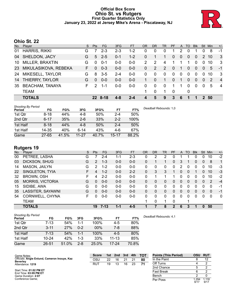# **Official Box Score Ohio St. vs Rutgers First Quarter Statistics Only January 23, 2022 at Jersey Mike's Arena - Piscataway, NJ**



# **Ohio St. 22**

| No. | Player                 | S. | Pts      | <b>FG</b> | 3FG     | <b>FT</b> | OR | <b>DR</b>      | <b>TR</b>    | <b>PF</b> | A              | TO             | <b>B</b> lk | Stl      | Min   | $+/-$          |
|-----|------------------------|----|----------|-----------|---------|-----------|----|----------------|--------------|-----------|----------------|----------------|-------------|----------|-------|----------------|
| 01  | <b>HARRIS, RIKKI</b>   | G  |          | $2 - 3$   | $2 - 3$ | $1 - 2$   | 0  | 0              | 0            |           | 2              | 0              |             |          | 8     | -1             |
| 04  | SHELDON, JACY          | G  | 5        | $2 - 5$   | $0 - 1$ | $1 - 2$   | 0  |                | 1            | $\Omega$  | $\Omega$       | $\overline{0}$ | $\Omega$    | 2        | 10    | -3             |
| 10  | MILLER, BRAXTIN        | G  | $\Omega$ | $0 - 1$   | $0 - 0$ | $0 - 0$   | 2  | $\overline{2}$ | 4            |           |                | 1              | 0           | $\Omega$ | 10    | -3             |
| 23  | MIKULASIKOVA, REBEKA   | F. | $\Omega$ | $0 - 3$   | $0 - 0$ | $0-0$     | 0  | 2              | 2            | $\Omega$  | $\overline{1}$ | $\Omega$       | $\Omega$    | $\Omega$ | 5     | $-1$           |
| 24  | MIKESELL, TAYLOR       | G  | 8        | $3 - 5$   | $2 - 4$ | $0 - 0$   | 0  | 0              | 0            | $\Omega$  | $\mathbf{0}$   | 0              | 0           | $\Omega$ | 10    | -3             |
| 14  | THIERRY, TAYLOR        | G  | $\Omega$ | $0 - 0$   | $0 - 0$ | $0 - 0$   |    | $\Omega$       | 1            | $\Omega$  | 1              | 0              | $\Omega$    | $\Omega$ | 2     | $\overline{4}$ |
| 35  | <b>BEACHAM, TANAYA</b> | F. | 2        | $1 - 1$   | $0 - 0$ | $0 - 0$   | 0  | 0              | $\mathbf{0}$ | 1         | 1.             | $\Omega$       | 0           | $\Omega$ | 5     | $\overline{4}$ |
|     | <b>TEAM</b>            |    |          |           |         |           |    | $\Omega$       | 1            | 0         |                | 0              |             |          |       |                |
|     | <b>TOTALS</b>          |    |          | 22 8-18   | $4 - 8$ | $2 - 4$   |    | 5              | 9            | 3         | 6              |                |             |          | 2, 50 |                |

| <b>Shooting By Period</b><br>Period | FG        | FG%   | 3FG       | 3FG%  | FT        | FT%   | Deadball Rebounds: 1,0 |
|-------------------------------------|-----------|-------|-----------|-------|-----------|-------|------------------------|
| 1st Qtr                             | $8 - 18$  | 44%   | 4-8       | 50%   | 2-4       | 50%   |                        |
| 2nd Qtr                             | $6 - 17$  | 35%   | $2 - 6$   | 33%   | $2 - 2$   | 100%  |                        |
| 1st Half                            | $8 - 18$  | 44%   | $4 - 8$   | 50%   | $2 - 4$   | 50%   |                        |
| 1st Half                            | 14-35     | 40%   | 6-14      | 43%   | 4-6       | 67%   |                        |
| Game                                | $27 - 65$ | 41.5% | $11 - 27$ | 40.7% | $15 - 17$ | 88.2% |                        |

# **Rutgers 19**

| No. | -<br>Player             | S  | <b>Pts</b> | <b>FG</b> | 3FG     | <b>FT</b> | <b>OR</b> | DR       | TR | <b>PF</b>    | A            | TO       | <b>Blk</b> | <b>Stl</b>   | Min      | $+/-$        |
|-----|-------------------------|----|------------|-----------|---------|-----------|-----------|----------|----|--------------|--------------|----------|------------|--------------|----------|--------------|
| 00  | PETREE, LASHA           | G  |            | $2 - 4$   | 1-1     | $2 - 3$   | 0         | 2        | 2  | 0            |              |          | 0          | 0            | 10       | $-2$         |
| 03  | DICKSON, SHUG           | G  | 2          | $1 - 3$   | $0 - 0$ | $0 - 0$   | 0         |          |    | $\Omega$     | 3            |          | 0          | $\mathbf{0}$ | 8        | 1            |
| 14  | MASON, JAILYN           | G  | 2          | $1 - 2$   | $0 - 0$ | $0 - 0$   | $\Omega$  | $\Omega$ | 0  | $\Omega$     | 2            | 0        | $\Omega$   | 0            | 10       | $-3$         |
| 22  | SINGLETON, TYIA         | F  | 4          | $1 - 2$   | $0 - 0$ | $2 - 2$   | 0         | 3        | 3  |              | $\Omega$     | $\Omega$ | 1          | $\Omega$     | 10       | $-3$         |
| 32  | <b>BROWN, OSH</b>       | F. | 4          | $2 - 2$   | $0-0$   | $0-0$     | 0         |          |    |              | 0            | 0        | $\Omega$   | 0            | 10       | $-2$         |
| 05  | <b>MORRIS, VICTORIA</b> | G  | $\Omega$   | $0 - 0$   | $0 - 0$ | $0 - 0$   | 0         | 0        | 0  | 0            | 0            | 0        | 0          | 0            | 2        | $-4$         |
| 15  | SIDIBE, AWA             | G  | 0          | $0 - 0$   | $0 - 0$ | $0 - 0$   | 0         | 0        | 0  | 0            | 0            | 0        | 0          | 0            | 0        | -1           |
| 35  | LASSITER, SAYAWNI       | G  | $\Omega$   | $0 - 0$   | $0 - 0$ | $0 - 0$   | 0         | $\Omega$ | 0  | 0            | $\mathbf{0}$ | 0        | 0          | 0            | $\Omega$ | -1           |
| 54  | CORNWELL, CHYNA         | F. | 0          | $0-0$     | $0-0$   | $0-0$     | 0         | 0        | 0  | 0            | 0            | 0        | 0          | 0            | 0        | $\mathbf{0}$ |
|     | <b>TEAM</b>             |    |            |           |         |           |           | 0        | 1  | $\mathbf{0}$ |              |          |            |              |          |              |
|     | <b>TOTALS</b>           |    | 19         | $7 - 13$  | $1 - 1$ | 4-5       |           |          | 8  | 2            | 6            | 3        |            | 0            | 50       |              |

| Shooting By Period |           |       |         |       |           |       |
|--------------------|-----------|-------|---------|-------|-----------|-------|
| Period             | FG        | FG%   | 3FG     | 3FG%  | FT        | FT%   |
| 1st Qtr            | 7-13      | 54%   | 1-1     | 100%  | 4-5       | 80%   |
| 2nd Qtr            | $3 - 11$  | 27%   | $0 - 2$ | 00%   | 7-8       | 88%   |
| 1st Half           | $7 - 13$  | 54%   | 1-1     | 100%  | $4-5$     | 80%   |
| 1st Half           | $10 - 24$ | 42%   | $1 - 3$ | 33%   | $11 - 13$ | 85%   |
| Game               | 26-51     | 51.0% | $2 - 8$ | 25.0% | 17-24     | 70.8% |

*Deadball Rebounds:* 4,1

| Game Notes:                                      | <b>Score</b> | 1st. | 2nd | 3rd | 4th | ΤΟΤ | <b>Points (This Period)</b> | OSU          | <b>RUT</b>    |
|--------------------------------------------------|--------------|------|-----|-----|-----|-----|-----------------------------|--------------|---------------|
| Officials: Angie Enlund, Cameron Inouye, Kaz     | osu          | 22   | 16  |     |     | 80  | In the Paint                |              |               |
| <b>Beverley</b><br>Attendance: 1219              | RUT          | 19   | 13  | 16  | 23  | 71  | Off Turns                   |              |               |
|                                                  |              |      |     |     |     |     | 2nd Chance                  |              |               |
| Start Time: 01:02 PM ET<br>End Time: 03:09 PM ET |              |      |     |     |     |     | <b>Fast Break</b>           |              |               |
| Game Duration: 2:07                              |              |      |     |     |     |     | Bench                       |              |               |
| Conference Game:                                 |              |      |     |     |     |     | Per Poss                    | .294<br>9/17 | 1.118<br>9/17 |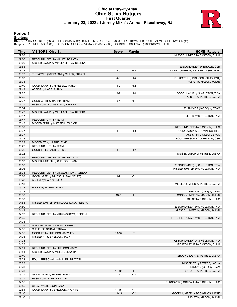### **Official Play-By-Play Ohio St. vs Rutgers First Quarter January 23, 2022 at Jersey Mike's Arena - Piscataway, NJ**



### **Period 1**

<mark>Startersː</mark><br>Ohio St.: 1 HARRIS,RIKKI (G); 4 SHELDON,JACY (G); 10 MILLER,BRAXTIN (G); 23 MIKULASIKOVA,REBEKA (F); 24 MIKESELL,TAYLOR (G);<br>**Rutgers**: 0 PETREE,LASHA (G); 3 DICKSON,SHUG (G); 14 MASON,JAILYN (G); 22 SINGLETON,

| Time           | <b>VISITORS: Ohio St.</b>             | <b>Score</b>           | <b>Margin</b>                    | <b>HOME: Rutgers</b>                               |
|----------------|---------------------------------------|------------------------|----------------------------------|----------------------------------------------------|
| 09:28          |                                       |                        |                                  | MISSED JUMPER by DICKSON, SHUG                     |
| 09:26          | REBOUND (DEF) by MILLER, BRAXTIN      |                        |                                  |                                                    |
| 09:00          | MISSED LAYUP by MIKULASIKOVA, REBEKA  |                        |                                  |                                                    |
| 08:58          |                                       |                        |                                  | REBOUND (DEF) by BROWN, OSH                        |
| 08:33          |                                       | $2 - 0$                | H <sub>2</sub>                   | GOOD! JUMPER by PETREE, LASHA [PNT]                |
| 08:17          | TURNOVER (BADPASS) by MILLER, BRAXTIN |                        |                                  |                                                    |
| 08:03          |                                       | $4 - 0$                | H4                               | GOOD! JUMPER by DICKSON, SHUG [PNT]                |
| 08:03          |                                       |                        |                                  | ASSIST by MASON, JAILYN                            |
| 07:49          | GOOD! LAYUP by MIKESELL, TAYLOR       | $4 - 2$                | H <sub>2</sub>                   |                                                    |
| 07:49          | ASSIST by HARRIS, RIKKI               |                        |                                  |                                                    |
| 07:25<br>07:25 |                                       | $6 - 2$                | H <sub>4</sub>                   | GOOD! LAYUP by SINGLETON, TYIA                     |
| 07:07          | GOOD! 3PTR by HARRIS, RIKKI           | $6-5$                  | H <sub>1</sub>                   | ASSIST by PETREE, LASHA                            |
| 07:07          | ASSIST by MIKULASIKOVA, REBEKA        |                        |                                  |                                                    |
| 06:54          |                                       |                        |                                  | TURNOVER (10SEC) by TEAM                           |
| 06:47          | MISSED LAYUP by MIKULASIKOVA, REBEKA  |                        |                                  |                                                    |
| 06:47          |                                       |                        |                                  | BLOCK by SINGLETON, TYIA                           |
| 06:47          | REBOUND (OFF) by TEAM                 |                        |                                  |                                                    |
| 06:43          | MISSED 3PTR by MIKESELL, TAYLOR       |                        |                                  |                                                    |
| 06:38          |                                       |                        |                                  | REBOUND (DEF) by DICKSON, SHUG                     |
| 06:37          |                                       | $8 - 5$                | H <sub>3</sub>                   | GOOD! LAYUP by BROWN, OSH [FB]                     |
| 06:37          |                                       |                        |                                  | ASSIST by DICKSON, SHUG                            |
| 06:22          |                                       |                        |                                  | FOUL (PERSONAL) by BROWN, OSH                      |
| 06:22          | MISSED FT by HARRIS, RIKKI            |                        |                                  |                                                    |
| 06:22          | REBOUND (OFF) by TEAM                 |                        |                                  |                                                    |
| 06:22<br>06:02 | GOOD! FT by HARRIS, RIKKI             | $8-6$                  | H <sub>2</sub>                   |                                                    |
| 05:59          | REBOUND (DEF) by MILLER, BRAXTIN      |                        |                                  | MISSED LAYUP by PETREE, LASHA                      |
| 05:53          | MISSED JUMPER by SHELDON, JACY        |                        |                                  |                                                    |
| 05:50          |                                       |                        |                                  | REBOUND (DEF) by SINGLETON, TYIA                   |
| 05:36          |                                       |                        |                                  | MISSED JUMPER by SINGLETON, TYIA                   |
| 05:33          | REBOUND (DEF) by MIKULASIKOVA, REBEKA |                        |                                  |                                                    |
| 05:28          | GOOD! 3PTR by MIKESELL, TAYLOR [FB]   | $8-9$                  | V <sub>1</sub>                   |                                                    |
| 05:28          | ASSIST by HARRIS, RIKKI               |                        |                                  |                                                    |
| 05:13          |                                       |                        |                                  | MISSED JUMPER by PETREE, LASHA                     |
| 05:13          | <b>BLOCK by HARRIS, RIKKI</b>         |                        |                                  |                                                    |
| 05:12          |                                       |                        |                                  | REBOUND (OFF) by TEAM                              |
| 05:10          |                                       | $10-9$                 | H <sub>1</sub>                   | GOOD! JUMPER by MASON, JAILYN                      |
| 05:10          |                                       |                        |                                  | ASSIST by DICKSON, SHUG                            |
| 04:53          | MISSED JUMPER by MIKULASIKOVA, REBEKA |                        |                                  |                                                    |
| 04:50          |                                       |                        |                                  | REBOUND (DEF) by SINGLETON, TYIA                   |
| 04:41<br>04:39 | REBOUND (DEF) by MIKULASIKOVA, REBEKA |                        |                                  | MISSED JUMPER by MASON, JAILYN                     |
| 04:35          |                                       |                        |                                  | FOUL (PERSONAL) by SINGLETON, TYIA                 |
| 04:35          |                                       |                        |                                  |                                                    |
| 04:35          | SUB OUT: MIKULASIKOVA, REBEKA         |                        |                                  |                                                    |
| 04:35          | SUB IN: BEACHAM, TANAYA               |                        |                                  |                                                    |
| 04:35          | GOOD! FT by SHELDON, JACY [FB]        | $10 - 10$              | T                                |                                                    |
| 04:35          | MISSED FT by SHELDON, JACY            |                        |                                  |                                                    |
| 04:33          |                                       |                        |                                  | REBOUND (DEF) by SINGLETON, TYIA                   |
| 04:03          |                                       |                        |                                  | MISSED LAYUP by DICKSON, SHUG                      |
| 04:01          | REBOUND (DEF) by SHELDON, JACY        |                        |                                  |                                                    |
| 03:51          | MISSED LAYUP by MILLER, BRAXTIN       |                        |                                  |                                                    |
| 03:49          |                                       |                        |                                  | REBOUND (DEF) by PETREE, LASHA                     |
| 03:23          | FOUL (PERSONAL) by MILLER, BRAXTIN    |                        |                                  |                                                    |
| 03:23          |                                       |                        |                                  | MISSED FT by PETREE, LASHA                         |
| 03:23          |                                       |                        |                                  | REBOUND (OFF) by TEAM<br>GOOD! FT by PETREE, LASHA |
| 03:23<br>03:07 | GOOD! 3PTR by HARRIS, RIKKI           | $11 - 10$<br>$11 - 13$ | H <sub>1</sub><br>V <sub>2</sub> |                                                    |
| 03:07          | ASSIST by MILLER, BRAXTIN             |                        |                                  |                                                    |
| 02:55          |                                       |                        |                                  | TURNOVER (LOSTBALL) by DICKSON, SHUG               |
| 02:55          | STEAL by SHELDON, JACY                |                        |                                  |                                                    |
| 02:51          | GOOD! LAYUP by SHELDON, JACY [FB]     | $11 - 15$              | V <sub>4</sub>                   |                                                    |
| 02:16          |                                       | $13 - 15$              | V <sub>2</sub>                   | GOOD! JUMPER by BROWN, OSH [PNT]                   |
| 02:16          |                                       |                        |                                  | ASSIST by MASON, JAILYN                            |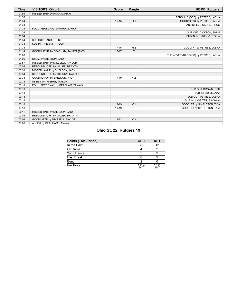| <b>Time</b> | <b>VISITORS: Ohio St.</b>            | <b>Score</b> | <b>Margin</b>  | <b>HOME: Rutgers</b>                |
|-------------|--------------------------------------|--------------|----------------|-------------------------------------|
| 01:59       | MISSED 3PTR by HARRIS, RIKKI         |              |                |                                     |
| 01:55       |                                      |              |                | REBOUND (DEF) by PETREE, LASHA      |
| 01:34       |                                      | $16 - 15$    | H <sub>1</sub> | GOOD! 3PTR by PETREE, LASHA         |
| 01:34       |                                      |              |                | ASSIST by DICKSON, SHUG             |
| 01:34       | FOUL (PERSONAL) by HARRIS, RIKKI     |              |                |                                     |
| 01:34       |                                      |              |                | SUB OUT: DICKSON, SHUG              |
| 01:34       |                                      |              |                | SUB IN: MORRIS, VICTORIA            |
| 01:34       | SUB OUT: HARRIS, RIKKI               |              |                |                                     |
| 01:34       | SUB IN: THIERRY, TAYLOR              |              |                |                                     |
| 01:34       |                                      | $17-15$      | H <sub>2</sub> | GOOD! FT by PETREE, LASHA           |
| 01:14       | GOOD! LAYUP by BEACHAM, TANAYA [PNT] | $17 - 17$    | T.             |                                     |
| 01:06       |                                      |              |                | TURNOVER (BADPASS) by PETREE, LASHA |
| 01:06       | STEAL by SHELDON, JACY               |              |                |                                     |
| 00:57       | MISSED 3PTR by MIKESELL, TAYLOR      |              |                |                                     |
| 00:54       | REBOUND (OFF) by MILLER, BRAXTIN     |              |                |                                     |
| 00:38       | MISSED LAYUP by SHELDON, JACY        |              |                |                                     |
| 00:34       | REBOUND (OFF) by THIERRY, TAYLOR     |              |                |                                     |
| 00:33       | GOOD! LAYUP by SHELDON, JACY         | $17-19$      | V <sub>2</sub> |                                     |
| 00:33       | ASSIST by THIERRY, TAYLOR            |              |                |                                     |
| 00:18       | FOUL (PERSONAL) by BEACHAM, TANAYA   |              |                |                                     |
| 00:18       |                                      |              |                | SUB OUT: BROWN, OSH                 |
| 00:18       |                                      |              |                | SUB IN: SIDIBE, AWA                 |
| 00:18       |                                      |              |                | SUB OUT: PETREE, LASHA              |
| 00:18       |                                      |              |                | SUB IN: LASSITER, SAYAWNI           |
| 00:18       |                                      | $18-19$      | V <sub>1</sub> | GOOD! FT by SINGLETON, TYIA         |
| 00:18       |                                      | 19-19        | T              | GOOD! FT by SINGLETON, TYIA         |
| 00:11       | MISSED 3PTR by SHELDON, JACY         |              |                |                                     |
| 00:08       | REBOUND (OFF) by MILLER, BRAXTIN     |              |                |                                     |
| 00:06       | GOOD! 3PTR by MIKESELL, TAYLOR       | 19-22        | V <sub>3</sub> |                                     |
| 00:06       | ASSIST by BEACHAM, TANAYA            |              |                |                                     |

# **Ohio St. 22, Rutgers 19**

| <b>Points (This Period)</b> | OSU           | <b>RUT</b>    |
|-----------------------------|---------------|---------------|
| In the Paint                |               | 12            |
| Off Turns                   |               |               |
| 2nd Chance                  | 5             |               |
| Fast Break                  | 6             |               |
| Bench                       |               |               |
| Per Poss                    | 1.294<br>9/17 | 1.118<br>9/17 |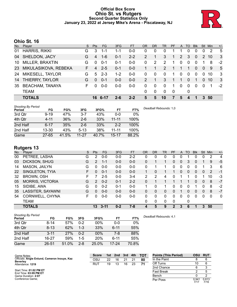# **Official Box Score Ohio St. vs Rutgers Second Quarter Statistics Only January 23, 2022 at Jersey Mike's Arena - Piscataway, NJ**



# **Ohio St. 16**

| No. | Player                 | S. | <b>Pts</b> | <b>FG</b> | 3FG     | <b>FT</b> | OR | <b>DR</b>   | TR           | <b>PF</b> | A        | TO       | <b>B</b> lk | Stl      | Min  | $+/-$ |
|-----|------------------------|----|------------|-----------|---------|-----------|----|-------------|--------------|-----------|----------|----------|-------------|----------|------|-------|
| 01  | <b>HARRIS, RIKKI</b>   | G  | 3          | 1-1       | 1-1     | 0-0       | 0  | 0           | 0            |           |          | 0        | 0           |          | 2    | -5    |
| 04  | SHELDON, JACY          | G  | 4          | $1 - 6$   | $0 - 1$ | $2 - 2$   | 2  | 1           | 3            | 1         | 2        | 3        | $\Omega$    | 2        | 10   | -3    |
| 10  | MILLER, BRAXTIN        | G  | $\Omega$   | $0 - 1$   | $0 - 1$ | 0-0       | 0  | 2           | 2            | 1         | 0        | 0        | 0           |          | 8    | $-2$  |
| 23  | MIKULASIKOVA, REBEKA   | F. | 4          | $2 - 5$   | $0 - 1$ | $0-0$     |    |             | 2            |           |          | 1        | $\Omega$    | $\Omega$ | 9    | 5     |
| 24  | MIKESELL, TAYLOR       | G  | 5          | $2 - 3$   | $1 - 2$ | $0 - 0$   | 0  | 0           | $\mathbf{0}$ | 1         | $\Omega$ | 0        | 0           | $\Omega$ | 10   | 3     |
| 14  | THIERRY, TAYLOR        | G  | $\Omega$   | $0 - 1$   | $0 - 0$ | $0 - 0$   | 2  | 1           | 3            | 1         |          | $\Omega$ | 1           | $\Omega$ | 10   | -3    |
| 35  | <b>BEACHAM, TANAYA</b> | F. |            | $0 - 0$   | $0 - 0$ | $0 - 0$   | 0  | 0           | 0            | 1         | $\Omega$ | 0        | 0           | $\Omega$ | -1   | $-2$  |
|     | <b>TEAM</b>            |    |            |           |         |           | 0  | $\mathbf 0$ | $\Omega$     | 0         |          | 0        |             |          |      |       |
|     | <b>TOTALS</b>          |    |            | 16 6-17   | 2-6     | $2 - 2$   | 5  | 5           | 10           |           | 5        | 4        |             |          | 3 50 |       |

| <b>Shooting By Period</b><br>Period | FG        | FG%   | 3FG       | 3FG%  | FT        | FT%   |
|-------------------------------------|-----------|-------|-----------|-------|-----------|-------|
| 3rd Qtr                             | $9 - 19$  | 47%   | $3 - 7$   | 43%   | $0 - 0$   | $0\%$ |
| 4th Qtr                             | $4 - 11$  | 36%   | $2-6$     | 33%   | $11 - 11$ | 100%  |
| 2nd Half                            | $6 - 17$  | 35%   | $2 - 6$   | 33%   | $2 - 2$   | 100%  |
| 2nd Half                            | $13 - 30$ | 43%   | $5 - 13$  | 38%   | 11-11     | 100%  |
| Game                                | $27 - 65$ | 41.5% | $11 - 27$ | 40.7% | $15 - 17$ | 88.2% |

# **Rutgers 13**

| No. | -<br>Plaver             | S  | <b>Pts</b> | FG      | 3FG     | <b>FT</b> | <b>OR</b> | DR       | TR | <b>PF</b>    | A        | TO | <b>B</b> lk | Stl      | Min | $+/-$        |
|-----|-------------------------|----|------------|---------|---------|-----------|-----------|----------|----|--------------|----------|----|-------------|----------|-----|--------------|
| 00  | PETREE, LASHA           | G  | 2          | $0 - 0$ | $0-0$   | $2 - 2$   | 0         | 0        | 0  | 0            |          |    | 0           | 0        | 2   | 4            |
| 03  | DICKSON, SHUG           | G  | 2          | $1 - 1$ | $0 - 0$ | $0 - 0$   | 0         |          |    | 0            | 0        | 3  | 0           |          | 9   | $-5$         |
| 14  | MASON, JAILYN           | G  | 0          | $0-0$   | $0-0$   | $0 - 0$   | $\Omega$  |          |    | 0            | $\Omega$ | 0  | 0           |          | 3   | 6            |
| 22  | SINGLETON, TYIA         | F. | 0          | $0 - 1$ | $0 - 0$ | $0 - 0$   |           | 0        |    |              | 0        | 0  | 0           | 0        | 2   | -1           |
| 32  | <b>BROWN, OSH</b>       | F  |            | $2 - 5$ | $0 - 0$ | $3 - 4$   | 2         | 2        | 4  | 0            |          |    | 0           |          | 10  | -3           |
| 05  | <b>MORRIS, VICTORIA</b> | G  | 2          | $0 - 2$ | $0 - 1$ | $2 - 2$   | 0         |          |    |              |          |    | 0           | 0        | 8   | $-7$         |
| 15  | SIDIBE, AWA             | G  | $\Omega$   | $0 - 2$ | $0 - 1$ | $0 - 0$   |           | 0        |    | 0            | 0        | 0  |             | 0        | 8   | $-2$         |
| 35  | LASSITER, SAYAWNI       | G  | $\Omega$   | $0 - 0$ | $0 - 0$ | $0 - 0$   | 0         | $\Omega$ | 0  | 0            |          | 0  | 0           | $\Omega$ | 8   | $-7$         |
| 54  | CORNWELL, CHYNA         | F. | $\Omega$   | $0 - 0$ | $0-0$   | $0-0$     | 0         | $\Omega$ | 0  | $\Omega$     | $\Omega$ | 0  | $\Omega$    | $\Omega$ | 0   | $\mathbf{0}$ |
|     | TEAM                    |    |            |         |         |           | 0         | 0        | 0  | $\mathbf{0}$ |          | 0  |             |          |     |              |
|     | <b>TOTALS</b>           |    | 13         | 3-11    | $0 - 2$ | $7 - 8$   | 4         | 5        | 9  | 2            | 3        | 6  |             | 3        | 50  |              |

| Shooting By Period<br>Period | FG        | FG%   | 3FG     | 3FG%  | FT       | FT%   |
|------------------------------|-----------|-------|---------|-------|----------|-------|
|                              |           |       |         |       |          |       |
| 3rd Qtr                      | 8-14      | 57%   | $0 - 2$ | 00%   | $0 - 0$  | $0\%$ |
| 4th Qtr                      | $8 - 13$  | 62%   | $1 - 3$ | 33%   | $6 - 11$ | 55%   |
| 2nd Half                     | $3 - 11$  | 27%   | $0 - 2$ | 00%   | 7-8      | 88%   |
| 2nd Half                     | $16 - 27$ | 59%   | $1 - 5$ | 20%   | $6 - 11$ | 55%   |
| Game                         | $26 - 51$ | 51.0% | $2 - 8$ | 25.0% | 17-24    | 70.8% |

*Deadball Rebounds:* 4,1

| Game Notes:                                      | <b>Score</b> | 1st | 2nd | 3rd | 4th            | TOT | <b>Points (This Period)</b> | OSU           | <b>RUT</b>    |
|--------------------------------------------------|--------------|-----|-----|-----|----------------|-----|-----------------------------|---------------|---------------|
| Officials: Angie Enlund, Cameron Inouye, Kaz     | osu          | 22  | 16  |     | 2 <sup>1</sup> | 80  | In the Paint                |               |               |
| <b>Beverley</b><br>Attendance: 1219              | RUT          | 19  | 13  | 16  | 23             | 71  | Off Turns                   | 10            |               |
|                                                  |              |     |     |     |                |     | 2nd Chance                  |               |               |
| Start Time: 01:02 PM ET<br>End Time: 03:09 PM ET |              |     |     |     |                |     | <b>Fast Break</b>           |               |               |
| Game Duration: 2:07                              |              |     |     |     |                |     | Bench                       |               |               |
| Conference Game:                                 |              |     |     |     |                |     | Per Poss                    | 0.941<br>7/17 | 0.813<br>7/16 |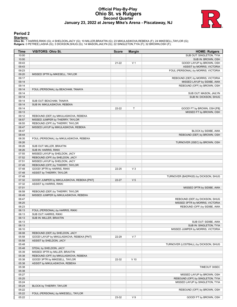# **Official Play-By-Play Ohio St. vs Rutgers Second Quarter January 23, 2022 at Jersey Mike's Arena - Piscataway, NJ**



### **Period 2**

<mark>Startersː</mark><br>Ohio St.: 1 HARRIS,RIKKI (G); 4 SHELDON,JACY (G); 10 MILLER,BRAXTIN (G); 23 MIKULASIKOVA,REBEKA (F); 24 MIKESELL,TAYLOR (G);<br>**Rutgers**: 0 PETREE,LASHA (G); 3 DICKSON,SHUG (G); 14 MASON,JAILYN (G); 22 SINGLETON,

| Time           | <b>VISITORS: Ohio St.</b>                                                | <b>Score</b> | <b>Margin</b>  | <b>HOME: Rutgers</b>                                             |
|----------------|--------------------------------------------------------------------------|--------------|----------------|------------------------------------------------------------------|
| 10:00          |                                                                          |              |                | SUB OUT: SINGLETON, TYIA                                         |
| 10:00          |                                                                          |              |                | SUB IN: BROWN, OSH                                               |
| 09:43          |                                                                          | 21-22        | V <sub>1</sub> | GOOD! LAYUP by BROWN, OSH                                        |
| 09:43          |                                                                          |              |                | ASSIST by MORRIS, VICTORIA                                       |
| 09:23          |                                                                          |              |                | FOUL (PERSONAL) by MORRIS, VICTORIA                              |
| 09:20          | MISSED 3PTR by MIKESELL, TAYLOR                                          |              |                |                                                                  |
| 09:17<br>09:14 |                                                                          |              |                | REBOUND (DEF) by MORRIS, VICTORIA<br>MISSED LAYUP by SIDIBE, AWA |
| 09:14          |                                                                          |              |                | REBOUND (OFF) by BROWN, OSH                                      |
| 09:14          | FOUL (PERSONAL) by BEACHAM, TANAYA                                       |              |                |                                                                  |
| 09:14          |                                                                          |              |                | SUB OUT: MASON, JAILYN                                           |
| 09:14          |                                                                          |              |                | SUB IN: DICKSON, SHUG                                            |
| 09:14          | SUB OUT: BEACHAM, TANAYA                                                 |              |                |                                                                  |
| 09:14          | SUB IN: MIKULASIKOVA, REBEKA                                             |              |                |                                                                  |
| 09:14          |                                                                          | 22-22        | T              | GOOD! FT by BROWN, OSH [FB]                                      |
| 09:13          |                                                                          |              |                | MISSED FT by BROWN, OSH                                          |
| 09:12          | REBOUND (DEF) by MIKULASIKOVA, REBEKA                                    |              |                |                                                                  |
| 08:57<br>08:55 | MISSED JUMPER by THIERRY, TAYLOR                                         |              |                |                                                                  |
| 08:47          | REBOUND (OFF) by THIERRY, TAYLOR<br>MISSED LAYUP by MIKULASIKOVA, REBEKA |              |                |                                                                  |
| 08:47          |                                                                          |              |                | BLOCK by SIDIBE, AWA                                             |
| 08:44          |                                                                          |              |                | REBOUND (DEF) by BROWN, OSH                                      |
| 08:35          | FOUL (PERSONAL) by MIKULASIKOVA, REBEKA                                  |              |                |                                                                  |
| 08:26          |                                                                          |              |                | TURNOVER (3SEC) by BROWN, OSH                                    |
| 08:26          | SUB OUT: MILLER, BRAXTIN                                                 |              |                |                                                                  |
| 08:26          | SUB IN: HARRIS, RIKKI                                                    |              |                |                                                                  |
| 07:55          | MISSED LAYUP by SHELDON, JACY                                            |              |                |                                                                  |
| 07:52          | REBOUND (OFF) by SHELDON, JACY                                           |              |                |                                                                  |
| 07:51          | MISSED LAYUP by SHELDON, JACY                                            |              |                |                                                                  |
| 07:49          | REBOUND (OFF) by THIERRY, TAYLOR                                         |              |                |                                                                  |
| 07:48<br>07:48 | GOOD! 3PTR by HARRIS, RIKKI<br>ASSIST by THIERRY, TAYLOR                 | 22-25        | $V_3$          |                                                                  |
| 07:48          |                                                                          |              |                | TURNOVER (BADPASS) by DICKSON, SHUG                              |
| 07:32          | GOOD! JUMPER by MIKULASIKOVA, REBEKA [PNT]                               | $22 - 27$    | V <sub>5</sub> |                                                                  |
| 07:32          | <b>ASSIST by HARRIS, RIKKI</b>                                           |              |                |                                                                  |
| 07:01          |                                                                          |              |                | MISSED 3PTR by SIDIBE, AWA                                       |
| 06:58          | REBOUND (DEF) by THIERRY, TAYLOR                                         |              |                |                                                                  |
| 06:49          | MISSED JUMPER by MIKULASIKOVA, REBEKA                                    |              |                |                                                                  |
| 06:47          |                                                                          |              |                | REBOUND (DEF) by DICKSON, SHUG                                   |
| 06:25          |                                                                          |              |                | MISSED 3PTR by MORRIS, VICTORIA                                  |
| 06:23          |                                                                          |              |                | REBOUND (OFF) by SIDIBE, AWA                                     |
| 06:13<br>06:13 | FOUL (PERSONAL) by HARRIS, RIKKI                                         |              |                |                                                                  |
| 06:13          | SUB OUT: HARRIS, RIKKI<br>SUB IN: MILLER, BRAXTIN                        |              |                |                                                                  |
| 06:13          |                                                                          |              |                | SUB OUT: SIDIBE, AWA                                             |
| 06:13          |                                                                          |              |                | SUB IN: SINGLETON, TYIA                                          |
| 06:10          |                                                                          |              |                | MISSED JUMPER by MORRIS, VICTORIA                                |
| 06:08          | REBOUND (DEF) by SHELDON, JACY                                           |              |                |                                                                  |
| 05:58          | GOOD! LAYUP by MIKULASIKOVA, REBEKA [PNT]                                | 22-29        | V <sub>7</sub> |                                                                  |
| 05:58          | ASSIST by SHELDON, JACY                                                  |              |                |                                                                  |
| 05:48          |                                                                          |              |                | TURNOVER (LOSTBALL) by DICKSON, SHUG                             |
| 05:48          | STEAL by SHELDON, JACY                                                   |              |                |                                                                  |
| 05:39          | MISSED 3PTR by MILLER, BRAXTIN                                           |              |                |                                                                  |
| 05:38<br>05:38 | REBOUND (OFF) by MIKULASIKOVA, REBEKA<br>GOOD! 3PTR by MIKESELL, TAYLOR  | 22-32        | $V$ 10         |                                                                  |
| 05:38          | ASSIST by MIKULASIKOVA, REBEKA                                           |              |                |                                                                  |
| 05:38          |                                                                          |              |                | TIMEOUT 30SEC                                                    |
| 05:38          |                                                                          |              |                |                                                                  |
| 05:27          |                                                                          |              |                | MISSED LAYUP by BROWN, OSH                                       |
| 05:25          |                                                                          |              |                | REBOUND (OFF) by SINGLETON, TYIA                                 |
| 05:24          |                                                                          |              |                | MISSED LAYUP by SINGLETON, TYIA                                  |
| 05:24          | BLOCK by THIERRY, TAYLOR                                                 |              |                |                                                                  |
| 05:22          |                                                                          |              |                | REBOUND (OFF) by BROWN, OSH                                      |
| 05:22          | FOUL (PERSONAL) by MIKESELL, TAYLOR                                      |              |                |                                                                  |
| 05:22          |                                                                          | 23-32        | V <sub>9</sub> | GOOD! FT by BROWN, OSH                                           |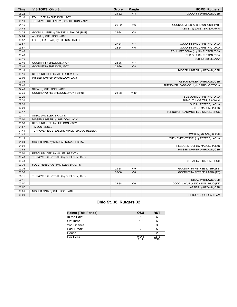| Time  | <b>VISITORS: Ohio St.</b>                   | <b>Score</b> | <b>Margin</b>  | <b>HOME: Rutgers</b>                   |
|-------|---------------------------------------------|--------------|----------------|----------------------------------------|
| 05:22 |                                             | 24-32        | V8             | GOOD! FT by BROWN, OSH                 |
| 05:10 | FOUL (OFF) by SHELDON, JACY                 |              |                |                                        |
| 05:10 | TURNOVER (OFFENSIVE) by SHELDON, JACY       |              |                |                                        |
| 04:45 |                                             | 26-32        | $V_6$          | GOOD! JUMPER by BROWN, OSH [PNT]       |
| 04:45 |                                             |              |                | ASSIST by LASSITER, SAYAWNI            |
| 04:24 | GOOD! JUMPER by MIKESELL, TAYLOR [PNT]      | 26-34        | V8             |                                        |
| 04:24 | ASSIST by SHELDON, JACY                     |              |                |                                        |
| 03:57 | FOUL (PERSONAL) by THIERRY, TAYLOR          |              |                |                                        |
| 03:57 |                                             | 27-34        | V <sub>7</sub> | GOOD! FT by MORRIS, VICTORIA           |
| 03:57 |                                             | 28-34        | $V_6$          | GOOD! FT by MORRIS, VICTORIA           |
| 03:46 |                                             |              |                | FOUL (PERSONAL) by SINGLETON, TYIA     |
| 03:46 |                                             |              |                | SUB OUT: SINGLETON, TYIA               |
| 03:46 |                                             |              |                | SUB IN: SIDIBE, AWA                    |
| 03:46 | GOOD! FT by SHELDON, JACY                   | 28-35        | V <sub>7</sub> |                                        |
| 03:46 | GOOD! FT by SHELDON, JACY                   | 28-36        | V8             |                                        |
| 03:18 |                                             |              |                | MISSED JUMPER by BROWN, OSH            |
| 03:16 | REBOUND (DEF) by MILLER, BRAXTIN            |              |                |                                        |
| 03:06 | MISSED JUMPER by SHELDON, JACY              |              |                |                                        |
| 03:03 |                                             |              |                | REBOUND (DEF) by BROWN, OSH            |
| 02:40 |                                             |              |                | TURNOVER (BADPASS) by MORRIS, VICTORIA |
| 02:40 | STEAL by SHELDON, JACY                      |              |                |                                        |
| 02:35 | GOOD! LAYUP by SHELDON, JACY [FB/PNT]       | 28-38        | $V$ 10         |                                        |
| 02:20 |                                             |              |                | SUB OUT: MORRIS, VICTORIA              |
| 02:20 |                                             |              |                | SUB OUT: LASSITER, SAYAWNI             |
| 02:20 |                                             |              |                | SUB IN: PETREE, LASHA                  |
| 02:20 |                                             |              |                | SUB IN: MASON, JAILYN                  |
| 02:17 |                                             |              |                | TURNOVER (BADPASS) by DICKSON, SHUG    |
| 02:17 | STEAL by MILLER, BRAXTIN                    |              |                |                                        |
| 02:00 | MISSED JUMPER by SHELDON, JACY              |              |                |                                        |
| 01:58 | REBOUND (OFF) by SHELDON, JACY              |              |                |                                        |
| 01:57 | TIMEOUT 30SEC                               |              |                |                                        |
| 01:41 | TURNOVER (LOSTBALL) by MIKULASIKOVA, REBEKA |              |                |                                        |
| 01:41 |                                             |              |                | STEAL by MASON, JAILYN                 |
| 01:19 |                                             |              |                | TURNOVER (TRAVEL) by PETREE, LASHA     |
| 01:04 | MISSED 3PTR by MIKULASIKOVA, REBEKA         |              |                |                                        |
| 01:01 |                                             |              |                | REBOUND (DEF) by MASON, JAILYN         |
| 00:52 |                                             |              |                | MISSED JUMPER by BROWN, OSH            |
| 00:50 | REBOUND (DEF) by MILLER, BRAXTIN            |              |                |                                        |
| 00:43 | TURNOVER (LOSTBALL) by SHELDON, JACY        |              |                |                                        |
| 00:43 |                                             |              |                | STEAL by DICKSON, SHUG                 |
| 00:36 | FOUL (PERSONAL) by MILLER, BRAXTIN          |              |                |                                        |
| 00:36 |                                             | 29-38        | V <sub>9</sub> | GOOD! FT by PETREE, LASHA [FB]         |
| 00:36 |                                             | 30-38        | V8             | GOOD! FT by PETREE, LASHA [FB]         |
| 00:11 | TURNOVER (LOSTBALL) by SHELDON, JACY        |              |                |                                        |
| 00:11 |                                             |              |                | STEAL by BROWN, OSH                    |
| 00:07 |                                             | 32-38        | $V_6$          | GOOD! LAYUP by DICKSON, SHUG [FB]      |
| 00:07 |                                             |              |                | ASSIST by BROWN, OSH                   |
| 00:01 | MISSED 3PTR by SHELDON, JACY                |              |                |                                        |
| 00:00 |                                             |              |                | REBOUND (DEF) by TEAM                  |

# **Ohio St. 38, Rutgers 32**

| <b>Points (This Period)</b> | OSU           | <b>RUT</b>    |
|-----------------------------|---------------|---------------|
| In the Paint                |               |               |
| Off Turns                   | 10            |               |
| 2nd Chance                  |               |               |
| <b>Fast Break</b>           |               | 5             |
| Bench                       |               |               |
| Per Poss                    | 0.941<br>7/17 | 0.813<br>7/16 |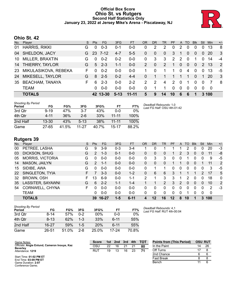### **Official Box Score Ohio St. vs Rutgers Second Half Statistics Only January 23, 2022 at Jersey Mike's Arena - Piscataway, NJ**



# **Ohio St. 42**

| No. | Player                 | <sub>S</sub> | <b>Pts</b> | FG       | 3FG      | <b>FT</b> | <b>OR</b>     | <b>DR</b>     | TR           | <b>PF</b> |          | A TO     | <b>BIK</b> | Stl           | Min       | $+/-$ |
|-----|------------------------|--------------|------------|----------|----------|-----------|---------------|---------------|--------------|-----------|----------|----------|------------|---------------|-----------|-------|
| 01  | <b>HARRIS, RIKKI</b>   | G            | 0          | $0 - 3$  | 0-1      | 0-0       | 0             | 2             | 2            | 0         | 2        | 0        | 0          | $\Omega$      | 13        | 8     |
| 04  | SHELDON, JACY          | G.           | 23         | 7-12     | $4 - 7$  | $5 - 5$   | $\Omega$      | $\Omega$      | $\mathbf{0}$ | 3         |          | 0        | $\Omega$   | $\Omega$      | <b>20</b> | 3     |
| 10  | MILLER, BRAXTIN        | G            | $\Omega$   | $0 - 2$  | $0 - 2$  | $0 - 0$   | 0             | 3             | 3            | 2         | 2        | $\Omega$ |            | 0             | 14        | $-4$  |
| 14  | THIERRY, TAYLOR        | G            | 5          | $-2-3$   | $1 - 1$  | $0 - 0$   | $\mathcal{P}$ | $\mathbf{0}$  | 2            | 1         | $\Omega$ | $\Omega$ | $\Omega$   | $\mathcal{P}$ | -13       | 2     |
| 23  | MIKULASIKOVA, REBEKA   | F            | $\Omega$   | $0 - 2$  | $0 - 0$  | $0 - 0$   |               | 0             |              | 1.        | $\Omega$ | 4        | $\Omega$   | $\Omega$      | 13        | -5    |
| 24  | MIKESELL, TAYLOR       | G            | 8          | $2 - 5$  | $0 - 2$  | $4 - 4$   | $\Omega$      |               |              |           |          |          | $\Omega$   | $\mathbf 1$   | <b>20</b> | 3     |
| 35  | <b>BEACHAM, TANAYA</b> | F            | 6          | $2 - 3$  | $0 - 0$  | $2 - 2$   | 2             | $\mathcal{P}$ | 4            | 2         | $\Omega$ |          | $\Omega$   | $\Omega$      |           | -8    |
|     | <b>TEAM</b>            |              | 0          | $0 - 0$  | $0 - 0$  | $0 - 0$   | $\Omega$      |               |              | $\Omega$  | $\Omega$ | $\Omega$ | $\Omega$   | $\Omega$      | - 0       |       |
|     | <b>TOTALS</b>          |              |            | 42 13-30 | $5 - 13$ | $11 - 11$ | 5             | 9             | 14           | 10        | 6        | 6        |            |               | 3 100     |       |

| <b>Shooting By Period</b><br>Period | FG        | FG%   | 3FG    | 3FG%  | FT        | FT%   | Deadball Rebounds: 1,0<br>Last FG Half: OSU 4th-01:42 |
|-------------------------------------|-----------|-------|--------|-------|-----------|-------|-------------------------------------------------------|
| 3rd Qtr                             | $9 - 19$  | 47%   | 3-7    | 43%   | $0 - 0$   | $0\%$ |                                                       |
| 4th Qtr                             | $4 - 11$  | 36%   | $2-6$  | 33%   | $11 - 11$ | 100%  |                                                       |
| 2nd Half                            | $13 - 30$ | 43%   | $5-13$ | 38%   | $11 - 11$ | 100%  |                                                       |
| Game                                | $27 - 65$ | 41.5% | 11-27  | 40.7% | 15-17     | 88.2% |                                                       |

# **Rutgers 39**

| No. | Player                  | S  | <b>Pts</b>    | FG.     | 3FG     | <b>FT</b> | OR | <b>DR</b> | TR       | <b>PF</b> | A | TO | <b>B</b> lk  | Stl      | Min | $+/-$        |
|-----|-------------------------|----|---------------|---------|---------|-----------|----|-----------|----------|-----------|---|----|--------------|----------|-----|--------------|
| 00  | PETREE, LASHA           | G  | 9             | $3-9$   | $0 - 3$ | $3 - 4$   |    | 0         |          |           |   | 2  | 0            | 0        | 20  | $-3$         |
| 03  | DICKSON, SHUG           | G  | $\mathcal{P}$ | $1 - 3$ | $0 - 1$ | $0 - 0$   | 0  | 0         | 0        |           | 2 | 3  | $\mathbf{0}$ | 0        | 11  | -8           |
| 05  | <b>MORRIS, VICTORIA</b> | G  | $\Omega$      | $0 - 0$ | $0 - 0$ | $0 - 0$   | 0  | 3         | 3        | 0         | 0 |    | $\Omega$     | 0        | 9   | -5           |
| 14  | MASON, JAILYN           | G  | $\mathcal{P}$ | $1 - 1$ | $0 - 0$ | $0 - 0$   | 0  | 0         | 0        |           |   | 0  | $\mathbf{0}$ |          | 11  | 2            |
| 15  | SIDIBE, AWA             | G  | 0             | $0 - 0$ | $0 - 0$ | $0 - 0$   | 0  |           |          | 0         | 0 | 0  | 0            | 0        | 3   | -5           |
| 22  | SINGLETON, TYIA         | F. |               | $3 - 3$ | $0 - 0$ | $1 - 2$   | 0  | 6         | 6        | 3         |   |    |              | 2        | 17  | 5            |
| 32  | BROWN, OSH              | F. | 13            | $6-9$   | $0 - 0$ | $1 - 1$   | 2  |           | 3        | 3         | 1 | 2  | $\Omega$     | $\Omega$ | 18  | $\mathbf{0}$ |
| 35  | LASSITER, SAYAWNI       | G  | 6             | $2 - 2$ | 1-1     | 1-4       |    |           | 2        | 3         | 2 | 0  | $\Omega$     | 0        | 10  | 2            |
| 54  | CORNWELL, CHYNA         | F. | 0             | $0 - 0$ | $0 - 0$ | $0 - 0$   | 0  | 0         | 0        | 0         | 0 | 0  | 0            | 0        | 2   | $-3$         |
|     | TEAM                    |    | 0             | $0 - 0$ | $0 - 0$ | $0 - 0$   | 0  | 0         | $\Omega$ | $\Omega$  | 0 |    | 0            | 0        | 0   |              |
|     | <b>TOTALS</b>           |    | 39            | 16-27   | $1 - 5$ | $6 - 11$  |    | 12        | 16       | 12        | 8 | 10 |              | 3        | 100 |              |

| <b>Shooting By Period</b><br>Period | FG        | FG%   | 3FG     | 3FG%   | FT       | FT%   |
|-------------------------------------|-----------|-------|---------|--------|----------|-------|
| 3rd Qtr                             | 8-14      | 57%   | 0-2     | $00\%$ | $0 - 0$  | 0%    |
| 4th Qtr                             | $8 - 13$  | 62%   | $1 - 3$ | 33%    | $6 - 11$ | 55%   |
| 2nd Half                            | $16 - 27$ | 59%   | $1-5$   | 20%    | $6 - 11$ | 55%   |
| Game                                | 26-51     | 51.0% | $2 - 8$ | 25.0%  | 17-24    | 70.8% |

*Deadball Rebounds:* 4,1 *Last FG Half:* RUT 4th-00:04

| Game Notes:                                      | <b>Score</b> | 1st. | 2nd | 3rd | 4th | <b>TOT</b> | <b>Points from (This Period)</b> | <b>OSU RUT</b> |    |
|--------------------------------------------------|--------------|------|-----|-----|-----|------------|----------------------------------|----------------|----|
| Officials: Angie Enlund, Cameron Inouye, Kaz     | OSL          | 22   | 16  | 21  |     | 80         | In the Paint                     | 14             | 26 |
| <b>Beverley</b><br>Attendance: 1219              | RUT          | 19   | 13  | 16  | 23  |            | Off Turns                        |                |    |
|                                                  |              |      |     |     |     |            | 2nd Chance                       |                |    |
| Start Time: 01:02 PM ET<br>End Time: 03:09 PM ET |              |      |     |     |     |            | <b>Fast Break</b>                |                |    |
| Game Duration: 2:07<br>Conference Game;          |              |      |     |     |     |            | Bench                            |                |    |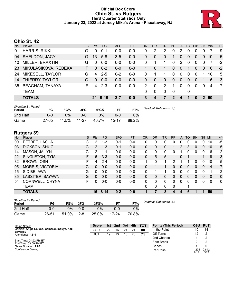# **Official Box Score Ohio St. vs Rutgers Third Quarter Statistics Only January 23, 2022 at Jersey Mike's Arena - Piscataway, NJ**



# **Ohio St. 42**

| No.       | Plaver                 | S. | <b>Pts</b> | <b>FG</b> | 3FG     | <b>FT</b> | OR            | <b>DR</b> | TR       | <b>PF</b>      | A            | TO       | <b>Blk</b>     | Stl            | Min | $+/-$ |
|-----------|------------------------|----|------------|-----------|---------|-----------|---------------|-----------|----------|----------------|--------------|----------|----------------|----------------|-----|-------|
| 01        | <b>HARRIS, RIKKI</b>   | G  | 0          | $0 - 1$   | $0 - 0$ | $0-0$     | 0             | 2         | 2        | 0              | 2            | 0        | 0              |                |     | -9    |
| 04        | <b>SHELDON, JACY</b>   | G  | 13         | $5 - 8$   | $3-5$   | $0 - 0$   | 0             | 0         | 0        | 1              | 0            | $\Omega$ | $\Omega$       | $\overline{0}$ | 10  | 5     |
| 10        | MILLER, BRAXTIN        | G  | 0          | $0 - 0$   | $0 - 0$ | $0 - 0$   | 0             |           | 1.       | 0              | 2            | $\Omega$ | $\mathbf 0$    | 0              |     | $-2$  |
| <b>23</b> | MIKULASIKOVA, REBEKA   | F. | $\Omega$   | $0 - 2$   | $0 - 0$ | $0-0$     | 1.            | 0         | 1.       | $\overline{0}$ | $\mathbf{0}$ | 1        | $\overline{0}$ | $\overline{0}$ | 6   | $-2$  |
| 24        | MIKESELL, TAYLOR       | G  | 4          | $2 - 5$   | $0 - 2$ | $0-0$     | 0             |           |          | $\Omega$       | $\Omega$     | $\Omega$ | $\Omega$       |                | 10  | 5     |
| 14        | THIERRY, TAYLOR        | G  | $\Omega$   | $0 - 0$   | $0 - 0$ | $0 - 0$   | 0             | 0         | $\Omega$ | $\Omega$       | 0            | $\Omega$ | $\Omega$       |                | 6   | -3    |
| 35        | <b>BEACHAM, TANAYA</b> | F  | Δ          | $2 - 3$   | $0 - 0$ | $0-0$     | $\mathcal{P}$ | 0         | 2        | 1              | $\Omega$     | $\Omega$ | $\Omega$       | $\Omega$       | 4   | 7     |
|           | <b>TEAM</b>            |    |            |           |         |           | 0             | $\Omega$  | $\Omega$ | 0              |              | 0        |                |                |     |       |
|           | <b>TOTALS</b>          |    | 21         | $9-19$    | 3-7     | $0 - 0$   | 3             | 4         |          | 2              | 4            |          | $\bf{0}$       | 2              | 50  |       |

| <b>Shooting By Period</b><br>Period | FG    | FG%   | 3FG       | 3FG%  | FТ        | FT%   | Deadball Rebounds: 1,0 |
|-------------------------------------|-------|-------|-----------|-------|-----------|-------|------------------------|
| 2nd Half                            | 0-0   | $0\%$ | ი-ი       | 0%    | ი-ი       | 0%    |                        |
| Game                                | 27-65 | 41.5% | $11 - 27$ | 40.7% | $15 - 17$ | 88.2% |                        |

# **Rutgers 39**

| No. | Plaver                  | S  | <b>Pts</b>     | <b>FG</b> | 3FG     | <b>FT</b> | OR           | DR           | TR | PF | A            | TO       | <b>BIK</b> | Stl          | Min      | $+/-$        |
|-----|-------------------------|----|----------------|-----------|---------|-----------|--------------|--------------|----|----|--------------|----------|------------|--------------|----------|--------------|
| 00  | PETREE, LASHA           | G  | 2              | $1 - 3$   | $0 - 1$ | $0-0$     | 0            | 0            | 0  | 0  | 0            | $\Omega$ | 0          | 0            | 10       | -5           |
| 03  | DICKSON, SHUG           | G  | $\overline{2}$ | $1 - 3$   | $0 - 1$ | $0-0$     | $\mathbf{0}$ | $\mathbf{0}$ | 0  | 1  | 2            | 3        | 0          | $\mathbf{0}$ | 10       | $-5$         |
| 14  | MASON, JAILYN           | G  | 2              | 1-1       | $0 - 0$ | $0-0$     | 0            | 0            | 0  | 0  |              | 0        | 0          | 0            | 6        | 2            |
| 22  | SINGLETON, TYIA         | F. | 6              | $3 - 3$   | $0 - 0$ | $0 - 0$   | $\mathbf{0}$ | 5            | 5  |    | $\Omega$     |          |            |              | 9        | $-3$         |
| 32  | BROWN, OSH              | F. | 4              | $2 - 4$   | $0-0$   | $0-0$     | 1            | 0            | 1  | 2  |              |          | 0          | 0            | 10       | -5           |
| 05  | <b>MORRIS, VICTORIA</b> | G  | 0              | $0 - 0$   | $0 - 0$ | $0 - 0$   | 0            |              |    | 0  | $\mathbf{0}$ | 0        | 0          | $\Omega$     | 4        | $-7$         |
| 15  | SIDIBE, AWA             | G  | 0              | $0 - 0$   | $0 - 0$ | $0-0$     | 0            |              |    | 0  | 0            | 0        | 0          | 0            |          | $-2$         |
| 35  | LASSITER, SAYAWNI       | G  | $\Omega$       | $0 - 0$   | $0 - 0$ | $0-0$     | 0            | 0            | 0  | 0  | 0            | 0        | 0          | $\mathbf{0}$ | $\Omega$ | $\mathbf{0}$ |
| 54  | CORNWELL, CHYNA         | F. | 0              | $0 - 0$   | $0-0$   | $0-0$     | 0            | $\Omega$     | 0  | 0  | $\Omega$     | $\Omega$ | 0          | $\Omega$     | 0        | $\mathbf{0}$ |
|     | TEAM                    |    |                |           |         |           | 0            | 0            | 0  | 0  |              |          |            |              |          |              |
|     | <b>TOTALS</b>           |    | 16             | $8 - 14$  | $0 - 2$ | $0 - 0$   |              |              | 8  | 4  | 4            | 6        |            |              | 50       |              |

| <b>Shooting By Period</b><br>Period | FG        | FG%   | 3FG     | 3FG%  | FТ        | FT%   |
|-------------------------------------|-----------|-------|---------|-------|-----------|-------|
| 2nd Half                            | 0-0       | $0\%$ | ი-ი     | $0\%$ | 0-0       | 0%    |
| Game                                | $26 - 51$ | 51.0% | $2 - 8$ | 25.0% | $17 - 24$ | 70.8% |

*Deadball Rebounds:* 4,1

| Game Notes:                                      | <b>Score</b> | 1st \ | 2nd | 3rd | 4th | TOT | <b>Points (This Period)</b> | OSU           | <b>RUT</b>    |
|--------------------------------------------------|--------------|-------|-----|-----|-----|-----|-----------------------------|---------------|---------------|
| Officials: Angie Enlund, Cameron Inouye, Kaz     | osu          | 22    | 16  |     | 21  | 80  | In the Paint                | 10            | 14            |
| <b>Beverley</b><br>Attendance: 1219              | RUT          | 19    | 13  | 16  | 23  | 71  | Off Turns                   |               |               |
|                                                  |              |       |     |     |     |     | 2nd Chance                  |               |               |
| Start Time: 01:02 PM ET<br>End Time: 03:09 PM ET |              |       |     |     |     |     | <b>Fast Break</b>           |               |               |
| Game Duration: 2:07                              |              |       |     |     |     |     | Bench                       |               |               |
| Conference Game;                                 |              |       |     |     |     |     | Per Poss                    | 1.235<br>9/17 | 0.842<br>8/19 |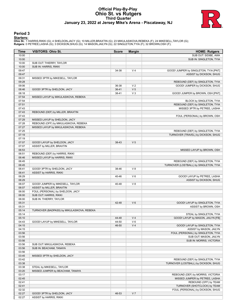# **Official Play-By-Play Ohio St. vs Rutgers Third Quarter January 23, 2022 at Jersey Mike's Arena - Piscataway, NJ**



### **Period 3**

<mark>Startersː</mark><br>Ohio St.: 1 HARRIS,RIKKI (G); 4 SHELDON,JACY (G); 10 MILLER,BRAXTIN (G); 23 MIKULASIKOVA,REBEKA (F); 24 MIKESELL,TAYLOR (G);<br>**Rutgers**: 0 PETREE,LASHA (G); 3 DICKSON,SHUG (G); 14 MASON,JAILYN (G); 22 SINGLETON,

| <b>Time</b> | <b>VISITORS: Ohio St.</b>                                 | <b>Score</b> | <b>Margin</b>  | <b>HOME: Rutgers</b>                   |
|-------------|-----------------------------------------------------------|--------------|----------------|----------------------------------------|
| 10:00       |                                                           |              |                | SUB OUT: SIDIBE, AWA                   |
| 10:00       |                                                           |              |                | SUB IN: SINGLETON, TYIA                |
| 10:00       | SUB OUT: THIERRY, TAYLOR                                  |              |                |                                        |
| 10:00       | SUB IN: HARRIS, RIKKI                                     |              |                |                                        |
| 09:47       |                                                           | 34-38        | V <sub>4</sub> | GOOD! JUMPER by SINGLETON, TYIA [PNT]  |
| 09:47       |                                                           |              |                | ASSIST by DICKSON, SHUG                |
| 09:31       | MISSED 3PTR by MIKESELL, TAYLOR                           |              |                |                                        |
| 09:28       |                                                           |              |                | REBOUND (DEF) by SINGLETON, TYIA       |
| 09:06       |                                                           | 36-38        | V <sub>2</sub> | GOOD! JUMPER by DICKSON, SHUG          |
| 08:46       | GOOD! 3PTR by SHELDON, JACY                               | $36 - 41$    | V <sub>5</sub> |                                        |
| 08:18       |                                                           | 38-41        | $V_3$          | GOOD! JUMPER by BROWN, OSH [PNT]       |
| 07:54       | MISSED LAYUP by MIKULASIKOVA, REBEKA                      |              |                |                                        |
| 07:54       |                                                           |              |                | BLOCK by SINGLETON, TYIA               |
| 07:51       |                                                           |              |                | REBOUND (DEF) by SINGLETON, TYIA       |
| 07:43       |                                                           |              |                | MISSED 3PTR by PETREE, LASHA           |
| 07:43       | REBOUND (DEF) by MILLER, BRAXTIN                          |              |                |                                        |
| 07:43       |                                                           |              |                | FOUL (PERSONAL) by BROWN, OSH          |
| 07:29       | MISSED LAYUP by SHELDON, JACY                             |              |                |                                        |
| 07:28       | REBOUND (OFF) by MIKULASIKOVA, REBEKA                     |              |                |                                        |
| 07:27       | MISSED LAYUP by MIKULASIKOVA, REBEKA                      |              |                |                                        |
| 07:25       |                                                           |              |                | REBOUND (DEF) by SINGLETON, TYIA       |
| 07:19       |                                                           |              |                | TURNOVER (TRAVEL) by DICKSON, SHUG     |
| 07:19       |                                                           |              |                |                                        |
|             |                                                           | 38-43        | V <sub>5</sub> |                                        |
| 07:07       | GOOD! LAYUP by SHELDON, JACY<br>ASSIST by MILLER, BRAXTIN |              |                |                                        |
| 07:07       |                                                           |              |                |                                        |
| 06:53       |                                                           |              |                | MISSED LAYUP by BROWN, OSH             |
| 06:51       | REBOUND (DEF) by HARRIS, RIKKI                            |              |                |                                        |
| 06:46       | MISSED LAYUP by HARRIS, RIKKI                             |              |                |                                        |
| 06:45       |                                                           |              |                | REBOUND (DEF) by SINGLETON, TYIA       |
| 06:45       |                                                           |              |                | TURNOVER (LOSTBALL) by SINGLETON, TYIA |
| 06:41       | GOOD! 3PTR by SHELDON, JACY                               | 38-46        | V8             |                                        |
| 06:41       | ASSIST by HARRIS, RIKKI                                   |              |                |                                        |
| 06:29       |                                                           | 40-46        | $V_6$          | GOOD! LAYUP by PETREE, LASHA           |
| 06:29       |                                                           |              |                | ASSIST by DICKSON, SHUG                |
| 06:07       | GOOD! JUMPER by MIKESELL, TAYLOR                          | 40-48        | V8             |                                        |
| 06:07       | ASSIST by MILLER, BRAXTIN                                 |              |                |                                        |
| 06:00       | FOUL (PERSONAL) by SHELDON, JACY                          |              |                |                                        |
| 06:00       | SUB OUT: HARRIS, RIKKI                                    |              |                |                                        |
| 06:00       | SUB IN: THIERRY, TAYLOR                                   |              |                |                                        |
| 05:31       |                                                           | 42-48        | $V_6$          | GOOD! LAYUP by SINGLETON, TYIA         |
| 05:31       |                                                           |              |                | ASSIST by BROWN, OSH                   |
| 05:14       | TURNOVER (BADPASS) by MIKULASIKOVA, REBEKA                |              |                |                                        |
| 05:14       |                                                           |              |                | STEAL by SINGLETON, TYIA               |
| 05:10       |                                                           | 44-48        | V <sub>4</sub> | GOOD! LAYUP by MASON, JAILYN [FB]      |
| 04:43       | GOOD! LAYUP by MIKESELL, TAYLOR                           | 44-50        | $V_6$          |                                        |
| 04:15       |                                                           | 46-50        | V <sub>4</sub> | GOOD! LAYUP by SINGLETON, TYIA         |
| 04:15       |                                                           |              |                | ASSIST by MASON, JAILYN                |
| 03:56       |                                                           |              |                | FOUL (PERSONAL) by SINGLETON, TYIA     |
| 03:56       |                                                           |              |                | SUB OUT: MASON, JAILYN                 |
| 03:56       |                                                           |              |                | SUB IN: MORRIS, VICTORIA               |
| 03:56       | SUB OUT: MIKULASIKOVA, REBEKA                             |              |                |                                        |
| 03:56       | SUB IN: BEACHAM, TANAYA                                   |              |                |                                        |
| 03:56       |                                                           |              |                |                                        |
| 03:45       | MISSED 3PTR by SHELDON, JACY                              |              |                |                                        |
| 03:42       |                                                           |              |                | REBOUND (DEF) by SINGLETON, TYIA       |
| 03:38       |                                                           |              |                | TURNOVER (LOSTBALL) by DICKSON, SHUG   |
| 03:38       | STEAL by MIKESELL, TAYLOR                                 |              |                |                                        |
| 03:20       | MISSED JUMPER by BEACHAM, TANAYA                          |              |                |                                        |
| 03:17       |                                                           |              |                | REBOUND (DEF) by MORRIS, VICTORIA      |
| 02:45       |                                                           |              |                |                                        |
|             |                                                           |              |                | MISSED JUMPER by PETREE, LASHA         |
| 02:41       |                                                           |              |                | REBOUND (OFF) by TEAM                  |
| 02:41       |                                                           |              |                | TURNOVER (SHOTCLOCK) by TEAM           |
| 02:32       |                                                           |              |                | FOUL (PERSONAL) by DICKSON, SHUG       |
| 02:27       | GOOD! 3PTR by SHELDON, JACY                               | 46-53        | V <sub>7</sub> |                                        |
| 02:27       | <b>ASSIST by HARRIS, RIKKI</b>                            |              |                |                                        |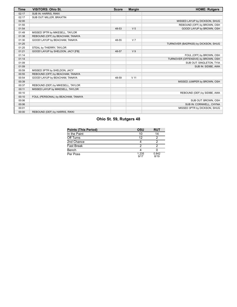| <b>Time</b> | <b>VISITORS: Ohio St.</b>          | <b>Score</b> | <b>Margin</b>   | <b>HOME: Rutgers</b>                |
|-------------|------------------------------------|--------------|-----------------|-------------------------------------|
| 02:17       | SUB IN: HARRIS, RIKKI              |              |                 |                                     |
| 02:17       | SUB OUT: MILLER, BRAXTIN           |              |                 |                                     |
| 02:00       |                                    |              |                 | MISSED LAYUP by DICKSON, SHUG       |
| 01:55       |                                    |              |                 | REBOUND (OFF) by BROWN, OSH         |
| 01:54       |                                    | 48-53        | V <sub>5</sub>  | GOOD! LAYUP by BROWN, OSH           |
| 01:49       | MISSED 3PTR by MIKESELL, TAYLOR    |              |                 |                                     |
| 01:38       | REBOUND (OFF) by BEACHAM, TANAYA   |              |                 |                                     |
| 01:30       | GOOD! LAYUP by BEACHAM, TANAYA     | 48-55        | V <sub>7</sub>  |                                     |
| 01:25       |                                    |              |                 | TURNOVER (BADPASS) by DICKSON, SHUG |
| 01:25       | STEAL by THIERRY, TAYLOR           |              |                 |                                     |
| 01:21       | GOOD! LAYUP by SHELDON, JACY [FB]  | 48-57        | V <sub>9</sub>  |                                     |
| 01:14       |                                    |              |                 | FOUL (OFF) by BROWN, OSH            |
| 01:14       |                                    |              |                 | TURNOVER (OFFENSIVE) by BROWN, OSH  |
| 01:09       |                                    |              |                 | SUB OUT: SINGLETON, TYIA            |
| 01:09       |                                    |              |                 | SUB IN: SIDIBE, AWA                 |
| 00:59       | MISSED 3PTR by SHELDON, JACY       |              |                 |                                     |
| 00:55       | REBOUND (OFF) by BEACHAM, TANAYA   |              |                 |                                     |
| 00:54       | GOOD! LAYUP by BEACHAM, TANAYA     | 48-59        | V <sub>11</sub> |                                     |
| 00:39       |                                    |              |                 | MISSED JUMPER by BROWN, OSH         |
| 00:37       | REBOUND (DEF) by MIKESELL, TAYLOR  |              |                 |                                     |
| 00:11       | MISSED LAYUP by MIKESELL, TAYLOR   |              |                 |                                     |
| 00:10       |                                    |              |                 | REBOUND (DEF) by SIDIBE, AWA        |
| 00:10       | FOUL (PERSONAL) by BEACHAM, TANAYA |              |                 |                                     |
| 00:06       |                                    |              |                 | SUB OUT: BROWN, OSH                 |
| 00:06       |                                    |              |                 | SUB IN: CORNWELL, CHYNA             |
| 00:01       |                                    |              |                 | MISSED 3PTR by DICKSON, SHUG        |
| 00:00       | REBOUND (DEF) by HARRIS, RIKKI     |              |                 |                                     |

# **Ohio St. 59, Rutgers 48**

| <b>Points (This Period)</b> | OSU           | <b>RUT</b>    |
|-----------------------------|---------------|---------------|
| In the Paint                | 10            | 14            |
| Off Turns                   | 12            |               |
| 2nd Chance                  |               |               |
| Fast Break                  |               |               |
| Bench                       |               |               |
| Per Poss                    | 1.235<br>9/17 | 0.842<br>8/19 |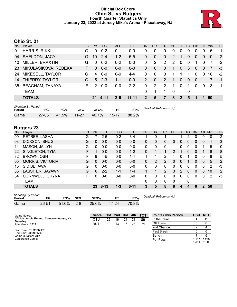# **Official Box Score Ohio St. vs Rutgers Fourth Quarter Statistics Only January 23, 2022 at Jersey Mike's Arena - Piscataway, NJ**



# **Ohio St. 21**

| No.       | Player                 | S. | <b>Pts</b> | FG.         | 3FG     | <b>FT</b> | OR             | <b>DR</b>   | <b>TR</b>      | <b>PF</b>     | A                | TO       | <b>Blk</b> | Stl      | <b>Min</b> | $+/-$          |
|-----------|------------------------|----|------------|-------------|---------|-----------|----------------|-------------|----------------|---------------|------------------|----------|------------|----------|------------|----------------|
| 01        | <b>HARRIS, RIKKI</b>   | G  | 0          | $0 - 2$     | 0-1     | $0-0$     | 0              | 0           | 0              | $\Omega$      | 0                | 0        | 0          |          | 6          | -1             |
| 04        | <b>SHELDON, JACY</b>   | G  | 10         | $2 - 4$     | $1 - 2$ | $5 - 5$   | 0              | 0           | $\Omega$       | 2             |                  | 0        | 0          | $\Omega$ | 10         | $-2$           |
| 10        | MILLER, BRAXTIN        | G  | $\Omega$   | $0 - 2$     | $0 - 2$ | $0 - 0$   | 0              | 2           | $\overline{2}$ | $\mathcal{P}$ | $\Omega$         | $\Omega$ | 1          | 0        |            | $-2$           |
| <b>23</b> | MIKULASIKOVA, REBEKA   | F. | $\Omega$   | $0 - 0$     | $0 - 0$ | $0 - 0$   | 0              | $\Omega$    | $\Omega$       | 1             | $\mathbf{0}$     | 3        | $\Omega$   | $\Omega$ | 7          | -3             |
| 24        | MIKESELL, TAYLOR       | G  | 4          | $0 - 0$     | $0-0$   | $4 - 4$   | 0              | $\Omega$    | $\Omega$       |               |                  |          | $\Omega$   | $\Omega$ | 10         | $-2$           |
| 14        | THIERRY, TAYLOR        | G  | 5          | $2 - 3$     | $1 - 1$ | $0 - 0$   | $\overline{2}$ | $\mathbf 0$ | 2              |               | $\overline{0}$   | 0        | $\Omega$   |          |            | $-1$           |
| 35        | <b>BEACHAM, TANAYA</b> | F. | 2          | $0 - 0$     | $0 - 0$ | $2 - 2$   | 0              | 2           | 2              | 1             | $\Omega$         | 1        | 0          | $\Omega$ | -3         | $\overline{1}$ |
|           | <b>TEAM</b>            |    |            |             |         |           | 0              |             |                | $\Omega$      |                  | 0        |            |          |            |                |
|           | <b>TOTALS</b>          |    |            | <b>4.11</b> | 2-6     | $11 - 11$ | $\mathcal{P}$  | 5           | 7              | 8             | $\boldsymbol{P}$ | 5        | 1          |          | 50         |                |

| <b>Shooting By Period</b><br>Period |           | FG%   | 3FG       | 3FG%  |           | FT%   | Deadball Rebounds: 1,0 |
|-------------------------------------|-----------|-------|-----------|-------|-----------|-------|------------------------|
| Game                                | $27 - 65$ | 41.5% | $11 - 27$ | 40.7% | $15 - 17$ | 88.2% |                        |

# **Rutgers 23**

| No. | Plaver                  | S  | Pts      | FG.      | 3FG     | <b>FT</b> | 0R | <b>DR</b> | <b>TR</b>      | PF | A              | TO       | <b>Blk</b>   | Stl           | Min | $+/-$          |
|-----|-------------------------|----|----------|----------|---------|-----------|----|-----------|----------------|----|----------------|----------|--------------|---------------|-----|----------------|
| 00  | PETREE, LASHA           | G  |          | $2-6$    | $0 - 2$ | $3 - 4$   |    | 0         |                |    |                |          | 0            | 0             | 10  | $\overline{2}$ |
| 03  | DICKSON, SHUG           | G  | 0        | $0 - 0$  | $0 - 0$ | $0-0$     | 0  | 0         | 0              | 0  | $\overline{0}$ | $\Omega$ | 0            | $\mathbf{0}$  | 1   | $-3$           |
| 14  | MASON, JAILYN           | G  | 0        | $0 - 0$  | $0 - 0$ | $0 - 0$   | 0  | 0         | $\mathbf{0}$   | 1  | 0              | 0        | 0            |               | 5   | $\mathbf 0$    |
| 22  | SINGLETON, TYIA         | F. |          | $0 - 0$  | $0 - 0$ | $1 - 2$   | 0  |           | 1              | 2  |                | $\Omega$ | $\Omega$     |               | 8   | 8              |
| 32  | <b>BROWN, OSH</b>       | F  | 9        | $4 - 5$  | $0 - 0$ | $1 - 1$   |    |           | 2              |    | 0              |          | 0            | 0             | 8   | 5              |
| 05  | <b>MORRIS, VICTORIA</b> | G  | $\Omega$ | $0 - 0$  | $0 - 0$ | $0 - 0$   | 0  | 2         | 2              | 0  | $\overline{0}$ |          | 0            | 0             | 5   | 2              |
| 15  | SIDIBE, AWA             | G  | $\Omega$ | $0 - 0$  | $0 - 0$ | $0-0$     | 0  | 0         | 0              | 0  | 0              | 0        | 0            | 0             | 2   | $-3$           |
| 35  | LASSITER, SAYAWNI       | G  | 6        | $2 - 2$  | $1 - 1$ | $1 - 4$   |    |           | $\overline{2}$ | 3  | 2              | $\Omega$ | 0            | $\Omega$      | 10  | 2              |
| 54  | CORNWELL, CHYNA         | F. | $\Omega$ | $0-0$    | $0-0$   | $0-0$     | 0  | 0         | $\Omega$       | 0  | 0              | 0        | $\Omega$     | $\Omega$      | 2   | $-3$           |
|     | TEAM                    |    |          |          |         |           | 0  | 0         | $\mathbf{0}$   | 0  |                | 0        |              |               |     |                |
|     | <b>TOTALS</b>           |    | 23       | $8 - 13$ | $1 - 3$ | $6 - 11$  | 3  | 5         | 8              | 8  | 4              | 4        | $\mathbf{0}$ | $\mathcal{P}$ | 50  |                |

| <b>Shooting By Period</b> |       |          |         |       |           |       |
|---------------------------|-------|----------|---------|-------|-----------|-------|
| Period                    | FG    | FG%      | 3FG     | 3FG%  |           | FT%   |
| Game                      | 26-51 | $51.0\%$ | $2 - 8$ | 25.0% | $17 - 24$ | 70.8% |

*Deadball Rebounds:* 4,1

| Game Notes:                                                     | <b>Score</b> |    | 1st 2nd | 3rd | 4th | тот | <b>Points (This Period)</b> | <b>OSU</b>    | <b>RUT</b>     |
|-----------------------------------------------------------------|--------------|----|---------|-----|-----|-----|-----------------------------|---------------|----------------|
| Officials: Angie Enlund, Cameron Inouye, Kaz<br><b>Beverley</b> | OSL          | 22 | 16      | 21  |     | 80  | In the Paint                |               |                |
| Attendance: 1219                                                | RUT          | 19 | 13      | 16  | 23  | 71  | Off Turns                   |               | 6              |
|                                                                 |              |    |         |     |     |     | 2nd Chance                  |               |                |
| Start Time: 01:02 PM ET<br>End Time: 03:09 PM ET                |              |    |         |     |     |     | <b>Fast Break</b>           |               | 6              |
| Game Duration: 2:07                                             |              |    |         |     |     |     | Bench                       |               |                |
| Conference Game:                                                |              |    |         |     |     |     | Per Poss                    | ⊟167<br>10/18 | 1.278<br>11/18 |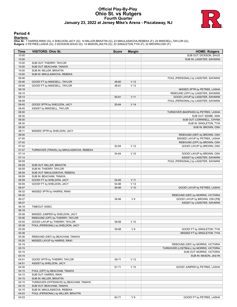# **Official Play-By-Play Ohio St. vs Rutgers Fourth Quarter January 23, 2022 at Jersey Mike's Arena - Piscataway, NJ**



### **Period 4**

<mark>Startersː</mark><br>Ohio St.: 1 HARRIS,RIKKI (G); 4 SHELDON,JACY (G); 10 MILLER,BRAXTIN (G); 23 MIKULASIKOVA,REBEKA (F); 24 MIKESELL,TAYLOR (G);<br>**Rutgers**: 0 PETREE,LASHA (G); 3 DICKSON,SHUG (G); 14 MASON,JAILYN (G); 22 SINGLETON,

| Time           | <b>VISITORS: Ohio St.</b>                 | <b>Score</b> | <b>Margin</b>   | <b>HOME: Rutgers</b>                                               |
|----------------|-------------------------------------------|--------------|-----------------|--------------------------------------------------------------------|
| 10:00          |                                           |              |                 | SUB OUT: DICKSON, SHUG                                             |
| 10:00          |                                           |              |                 | SUB IN: LASSITER, SAYAWNI                                          |
| 10:00          | SUB OUT: THIERRY, TAYLOR                  |              |                 |                                                                    |
| 10:00          | SUB OUT: BEACHAM, TANAYA                  |              |                 |                                                                    |
| 10:00          | SUB IN: MILLER, BRAXTIN                   |              |                 |                                                                    |
| 10:00          | SUB IN: MIKULASIKOVA, REBEKA              |              |                 |                                                                    |
| 09:46          |                                           |              |                 | FOUL (PERSONAL) by LASSITER, SAYAWNI                               |
| 09:46          | GOOD! FT by MIKESELL, TAYLOR              | 48-60        | V <sub>12</sub> |                                                                    |
| 09:46<br>09:18 | GOOD! FT by MIKESELL, TAYLOR              | 48-61        | V <sub>13</sub> |                                                                    |
| 09:15          |                                           |              |                 | MISSED 3PTR by PETREE, LASHA<br>REBOUND (OFF) by LASSITER, SAYAWNI |
| 09:14          |                                           | 50-61        | V <sub>11</sub> | GOOD! LAYUP by LASSITER, SAYAWNI                                   |
| 08:59          |                                           |              |                 | FOUL (PERSONAL) by LASSITER, SAYAWNI                               |
| 08:45          | GOOD! 3PTR by SHELDON, JACY               | 50-64        | V <sub>14</sub> |                                                                    |
| 08:45          | ASSIST by MIKESELL, TAYLOR                |              |                 |                                                                    |
| 08:30          |                                           |              |                 | TURNOVER (BADPASS) by PETREE, LASHA                                |
| 08:30          |                                           |              |                 | SUB OUT: SIDIBE, AWA                                               |
| 08:30          |                                           |              |                 | SUB OUT: CORNWELL, CHYNA                                           |
| 08:30          |                                           |              |                 | SUB IN: SINGLETON, TYIA                                            |
| 08:30          |                                           |              |                 | SUB IN: BROWN, OSH                                                 |
| 08:11          | MISSED 3PTR by SHELDON, JACY              |              |                 |                                                                    |
| 08:05          |                                           |              |                 | REBOUND (DEF) by BROWN, OSH                                        |
| 07:45          |                                           |              |                 | MISSED LAYUP by PETREE, LASHA                                      |
| 07:42          |                                           |              |                 | REBOUND (OFF) by BROWN, OSH                                        |
| 07:42          |                                           | 52-64        | V <sub>12</sub> | GOOD! LAYUP by BROWN, OSH                                          |
| 07:27          | TURNOVER (TRAVEL) by MIKULASIKOVA, REBEKA |              |                 |                                                                    |
| 07:14          |                                           | 54-64        | $V$ 10          | GOOD! LAYUP by BROWN, OSH                                          |
| 07:14<br>06:59 |                                           |              |                 | ASSIST by LASSITER, SAYAWNI                                        |
| 06:59          | SUB OUT: MILLER, BRAXTIN                  |              |                 | FOUL (PERSONAL) by LASSITER, SAYAWNI                               |
| 06:59          | SUB IN: THIERRY, TAYLOR                   |              |                 |                                                                    |
| 06:59          | SUB OUT: MIKULASIKOVA, REBEKA             |              |                 |                                                                    |
| 06:59          | SUB IN: BEACHAM, TANAYA                   |              |                 |                                                                    |
| 06:59          | GOOD! FT by SHELDON, JACY                 | 54-65        | $V$ 11          |                                                                    |
| 06:59          | GOOD! FT by SHELDON, JACY                 | 54-66        | V <sub>12</sub> |                                                                    |
| 06:47          |                                           | 56-66        | $V$ 10          | GOOD! LAYUP by PETREE, LASHA                                       |
| 06:32          | MISSED 3PTR by HARRIS, RIKKI              |              |                 |                                                                    |
| 06:30          |                                           |              |                 | REBOUND (DEF) by MORRIS, VICTORIA                                  |
| 06:27          |                                           | 58-66        | V8              | GOOD! LAYUP by BROWN, OSH [FB]                                     |
| 06:27          |                                           |              |                 | ASSIST by LASSITER, SAYAWNI                                        |
| 06:18          | TIMEOUT 30SEC                             |              |                 |                                                                    |
| 06:18          |                                           |              |                 |                                                                    |
| 05:58          | MISSED JUMPER by SHELDON, JACY            |              |                 |                                                                    |
| 05:56          | REBOUND (OFF) by THIERRY, TAYLOR          |              |                 |                                                                    |
| 05:55          | GOOD! LAYUP by THIERRY, TAYLOR            | 58-68        | $V$ 10          |                                                                    |
| 05:39          | FOUL (PERSONAL) by SHELDON, JACY          |              |                 |                                                                    |
| 05:39<br>05:38 |                                           | 59-68        | V <sub>9</sub>  | GOOD! FT by SINGLETON, TYIA<br>MISSED FT by SINGLETON, TYIA        |
| 05:36          | REBOUND (DEF) by BEACHAM, TANAYA          |              |                 |                                                                    |
| 05:20          | MISSED LAYUP by HARRIS, RIKKI             |              |                 |                                                                    |
| 05:18          |                                           |              |                 | REBOUND (DEF) by MORRIS, VICTORIA                                  |
| 05:15          |                                           |              |                 | TURNOVER (LOSTBALL) by MORRIS, VICTORIA                            |
| 05:15          |                                           |              |                 | SUB OUT: MORRIS, VICTORIA                                          |
| 05:15          |                                           |              |                 | SUB IN: MASON, JAILYN                                              |
| 04:51          | GOOD! 3PTR by THIERRY, TAYLOR             | 59-71        | V <sub>12</sub> |                                                                    |
| 04:51          | ASSIST by SHELDON, JACY                   |              |                 |                                                                    |
| 04:30          |                                           | 61-71        | $V$ 10          | GOOD! JUMPER by PETREE, LASHA                                      |
| 04:15          | FOUL (OFF) by BEACHAM, TANAYA             |              |                 |                                                                    |
| 04:15          | SUB OUT: HARRIS, RIKKI                    |              |                 |                                                                    |
| 04:15          | SUB IN: MILLER, BRAXTIN                   |              |                 |                                                                    |
| 04:15          | TURNOVER (OFFENSIVE) by BEACHAM, TANAYA   |              |                 |                                                                    |
| 04:15          | SUB OUT: BEACHAM, TANAYA                  |              |                 |                                                                    |
| 04:15          | SUB IN: MIKULASIKOVA, REBEKA              |              |                 |                                                                    |
| 04:03          | FOUL (PERSONAL) by MILLER, BRAXTIN        |              |                 |                                                                    |
| 04:03          |                                           | 62-71        | V <sub>9</sub>  | GOOD! FT by PETREE, LASHA                                          |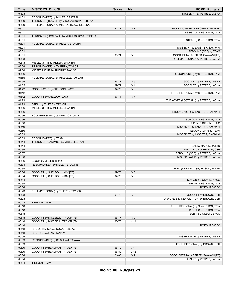| <b>Time</b>    | <b>VISITORS: Ohio St.</b>                                  | <b>Score</b> | <b>Margin</b>   | <b>HOME: Rutgers</b>                   |
|----------------|------------------------------------------------------------|--------------|-----------------|----------------------------------------|
| 04:03          |                                                            |              |                 | MISSED FT by PETREE, LASHA             |
| 04:01          | REBOUND (DEF) by MILLER, BRAXTIN                           |              |                 |                                        |
| 03:39          | TURNOVER (TRAVEL) by MIKULASIKOVA, REBEKA                  |              |                 |                                        |
| 03:29          | FOUL (PERSONAL) by MIKULASIKOVA, REBEKA                    |              |                 |                                        |
| 03:17          |                                                            | 64-71        | V <sub>7</sub>  | GOOD! JUMPER by BROWN, OSH [PNT]       |
| 03:17          |                                                            |              |                 | ASSIST by SINGLETON, TYIA              |
| 03:01          | TURNOVER (LOSTBALL) by MIKULASIKOVA, REBEKA                |              |                 |                                        |
| 03:01          |                                                            |              |                 | STEAL by SINGLETON, TYIA               |
| 03:01          | FOUL (PERSONAL) by MILLER, BRAXTIN                         |              |                 |                                        |
| 03:01          |                                                            |              |                 | MISSED FT by LASSITER, SAYAWNI         |
| 03:01          |                                                            |              |                 | REBOUND (OFF) by TEAM                  |
| 03:01          |                                                            | 65-71        | $V_6$           | GOOD! FT by LASSITER, SAYAWNI [FB]     |
| 02:33          |                                                            |              |                 | FOUL (PERSONAL) by PETREE, LASHA       |
| 02:13          | MISSED 3PTR by MILLER, BRAXTIN                             |              |                 |                                        |
| 02:09          | REBOUND (OFF) by THIERRY, TAYLOR                           |              |                 |                                        |
| 02:08          | MISSED LAYUP by THIERRY, TAYLOR                            |              |                 |                                        |
| 02:06          |                                                            |              |                 | REBOUND (DEF) by SINGLETON, TYIA       |
| 01:55          | FOUL (PERSONAL) by MIKESELL, TAYLOR                        |              |                 |                                        |
| 01:55          |                                                            | 66-71        | V <sub>5</sub>  | GOOD! FT by PETREE, LASHA              |
| 01:55          |                                                            | 67-71        | V <sub>4</sub>  | GOOD! FT by PETREE, LASHA              |
| 01:42          | GOOD! LAYUP by SHELDON, JACY                               | 67-73        | $V_6$           |                                        |
| 01:42          |                                                            |              |                 | FOUL (PERSONAL) by SINGLETON, TYIA     |
| 01:42          | GOOD! FT by SHELDON, JACY                                  | 67-74        | V <sub>7</sub>  |                                        |
| 01:23          |                                                            |              |                 | TURNOVER (LOSTBALL) by PETREE, LASHA   |
| 01:23<br>00:56 | STEAL by THIERRY, TAYLOR<br>MISSED 3PTR by MILLER, BRAXTIN |              |                 |                                        |
| 00:56          |                                                            |              |                 | REBOUND (DEF) by LASSITER, SAYAWNI     |
| 00:56          | FOUL (PERSONAL) by SHELDON, JACY                           |              |                 |                                        |
| 00:56          |                                                            |              |                 | SUB OUT: SINGLETON, TYIA               |
| 00:56          |                                                            |              |                 | SUB IN: DICKSON, SHUG                  |
| 00:56          |                                                            |              |                 | MISSED FT by LASSITER, SAYAWNI         |
| 00:56          |                                                            |              |                 | REBOUND (OFF) by TEAM                  |
| 00:53          |                                                            |              |                 | MISSED FT by LASSITER, SAYAWNI         |
| 00:53          | REBOUND (DEF) by TEAM                                      |              |                 |                                        |
| 00:44          | TURNOVER (BADPASS) by MIKESELL, TAYLOR                     |              |                 |                                        |
| 00:44          |                                                            |              |                 | STEAL by MASON, JAILYN                 |
| 00:39          |                                                            |              |                 | MISSED LAYUP by BROWN, OSH             |
| 00:37          |                                                            |              |                 | REBOUND (OFF) by PETREE, LASHA         |
| 00:36          |                                                            |              |                 | MISSED LAYUP by PETREE, LASHA          |
| 00:36          | BLOCK by MILLER, BRAXTIN                                   |              |                 |                                        |
| 00:34          | REBOUND (DEF) by MILLER, BRAXTIN                           |              |                 |                                        |
| 00:34          |                                                            |              |                 | FOUL (PERSONAL) by MASON, JAILYN       |
| 00:34          | GOOD! FT by SHELDON, JACY [FB]                             | 67-75        | V8              |                                        |
| 00:34          | GOOD! FT by SHELDON, JACY [FB]                             | 67-76        | V <sub>9</sub>  |                                        |
| 00:34          |                                                            |              |                 | SUB OUT: DICKSON, SHUG                 |
| 00:34          |                                                            |              |                 | SUB IN: SINGLETON, TYIA                |
| 00:34          |                                                            |              |                 | TIMEOUT 30SEC                          |
| 00:23          | FOUL (PERSONAL) by THIERRY, TAYLOR                         |              |                 |                                        |
| 00:23          |                                                            | 68-76        | V8              | GOOD! FT by BROWN, OSH                 |
| 00:23          |                                                            |              |                 | TURNOVER (LANEVIOLATION) by BROWN, OSH |
| 00:23          | TIMEOUT 30SEC                                              |              |                 |                                        |
| 00:18          |                                                            |              |                 | FOUL (PERSONAL) by SINGLETON, TYIA     |
| 00:18          |                                                            |              |                 | SUB OUT: SINGLETON, TYIA               |
| 00:18          |                                                            |              |                 | SUB IN: DICKSON, SHUG                  |
| 00:18          | GOOD! FT by MIKESELL, TAYLOR [FB]                          | 68-77        | V <sub>9</sub>  |                                        |
| 00:18          | GOOD! FT by MIKESELL, TAYLOR [FB]                          | 68-78        | $V$ 10          |                                        |
| 00:18          |                                                            |              |                 | TIMEOUT 30SEC                          |
| 00:18          | SUB OUT: MIKULASIKOVA, REBEKA                              |              |                 |                                        |
| 00:18          | SUB IN: BEACHAM, TANAYA                                    |              |                 |                                        |
| 00:09          |                                                            |              |                 | MISSED 3PTR by PETREE, LASHA           |
| 00:09<br>00:09 | REBOUND (DEF) by BEACHAM, TANAYA                           |              |                 |                                        |
| 00:09          | GOOD! FT by BEACHAM, TANAYA [FB]                           | 68-79        | $V$ 11          | FOUL (PERSONAL) by BROWN, OSH          |
| 00:09          | GOOD! FT by BEACHAM, TANAYA [FB]                           | 68-80        | V <sub>12</sub> |                                        |
| 00:04          |                                                            | 71-80        | V <sub>9</sub>  | GOOD! 3PTR by LASSITER, SAYAWNI [FB]   |
| 00:04          |                                                            |              |                 | ASSIST by PETREE, LASHA                |
| 00:04          | <b>TIMEOUT TEAM</b>                                        |              |                 |                                        |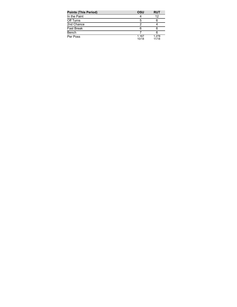| <b>Points (This Period)</b> | OSU            | <b>RUT</b>     |
|-----------------------------|----------------|----------------|
| In the Paint                |                | 12             |
| Off Turns                   | 5              | 6              |
| 2nd Chance                  |                |                |
| <b>Fast Break</b>           |                |                |
| Bench                       |                |                |
| Per Poss                    | 1.167<br>10/18 | 1.278<br>11/18 |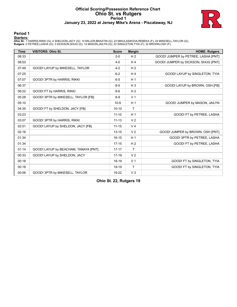# **Official Scoring/Possession Reference Chart Ohio St. vs Rutgers Period 1 January 23, 2022 at Jersey Mike's Arena - Piscataway, NJ**



### **Period 1**

<mark>Startersː</mark><br>Ohio St.: 1 HARRIS,RIKKI (G); 4 SHELDON,JACY (G); 10 MILLER,BRAXTIN (G); 23 MIKULASIKOVA,REBEKA (F); 24 MIKESELL,TAYLOR (G);<br>**Rutgers**: 0 PETREE,LASHA (G); 3 DICKSON,SHUG (G); 14 MASON,JAILYN (G); 22 SINGLETON,

| <b>Time</b> | <b>VISITORS: Ohio St.</b>            | <b>Score</b> | <b>Margin</b>  | <b>HOME: Rutgers</b>                |
|-------------|--------------------------------------|--------------|----------------|-------------------------------------|
| 08:33       |                                      | $2 - 0$      | H <sub>2</sub> | GOOD! JUMPER by PETREE, LASHA [PNT] |
| 08:03       |                                      | $4 - 0$      | H <sub>4</sub> | GOOD! JUMPER by DICKSON, SHUG [PNT] |
| 07:49       | GOOD! LAYUP by MIKESELL, TAYLOR      | $4 - 2$      | H <sub>2</sub> |                                     |
| 07:25       |                                      | $6 - 2$      | H <sub>4</sub> | GOOD! LAYUP by SINGLETON, TYIA      |
| 07:07       | GOOD! 3PTR by HARRIS, RIKKI          | $6-5$        | H <sub>1</sub> |                                     |
| 06:37       |                                      | $8 - 5$      | $H_3$          | GOOD! LAYUP by BROWN, OSH [FB]      |
| 06:22       | GOOD! FT by HARRIS, RIKKI            | $8-6$        | H <sub>2</sub> |                                     |
| 05:28       | GOOD! 3PTR by MIKESELL, TAYLOR [FB]  | $8 - 9$      | V <sub>1</sub> |                                     |
| 05:10       |                                      | $10-9$       | H <sub>1</sub> | GOOD! JUMPER by MASON, JAILYN       |
| 04:35       | GOOD! FT by SHELDON, JACY [FB]       | $10 - 10$    | T              |                                     |
| 03:23       |                                      | $11 - 10$    | H <sub>1</sub> | GOOD! FT by PETREE, LASHA           |
| 03:07       | GOOD! 3PTR by HARRIS, RIKKI          | $11 - 13$    | V <sub>2</sub> |                                     |
| 02:51       | GOOD! LAYUP by SHELDON, JACY [FB]    | $11 - 15$    | V <sub>4</sub> |                                     |
| 02:16       |                                      | $13 - 15$    | V <sub>2</sub> | GOOD! JUMPER by BROWN, OSH [PNT]    |
| 01:34       |                                      | $16 - 15$    | H <sub>1</sub> | GOOD! 3PTR by PETREE, LASHA         |
| 01:34       |                                      | $17 - 15$    | H <sub>2</sub> | GOOD! FT by PETREE, LASHA           |
| 01:14       | GOOD! LAYUP by BEACHAM, TANAYA [PNT] | $17 - 17$    | $\mathsf{T}$   |                                     |
| 00:33       | GOOD! LAYUP by SHELDON, JACY         | $17-19$      | V <sub>2</sub> |                                     |
| 00:18       |                                      | 18-19        | V <sub>1</sub> | GOOD! FT by SINGLETON, TYIA         |
| 00:18       |                                      | 19-19        | $\mathsf{T}$   | GOOD! FT by SINGLETON, TYIA         |
| 00:06       | GOOD! 3PTR by MIKESELL, TAYLOR       | 19-22        | V <sub>3</sub> |                                     |

**Ohio St. 22, Rutgers 19**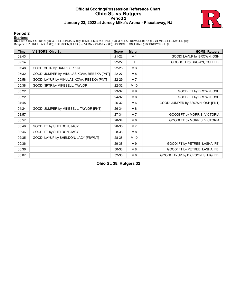# **Official Scoring/Possession Reference Chart Ohio St. vs Rutgers Period 2 January 23, 2022 at Jersey Mike's Arena - Piscataway, NJ**



### **Period 2**

<mark>Startersː</mark><br>Ohio St.: 1 HARRIS,RIKKI (G); 4 SHELDON,JACY (G); 10 MILLER,BRAXTIN (G); 23 MIKULASIKOVA,REBEKA (F); 24 MIKESELL,TAYLOR (G);<br>**Rutgers**: 0 PETREE,LASHA (G); 3 DICKSON,SHUG (G); 14 MASON,JAILYN (G); 22 SINGLETON,

| <b>Time</b> | <b>VISITORS: Ohio St.</b>                  | <b>Score</b> | <b>Margin</b>  | <b>HOME: Rutgers</b>              |
|-------------|--------------------------------------------|--------------|----------------|-----------------------------------|
| 09:43       |                                            | $21-22$      | V <sub>1</sub> | GOOD! LAYUP by BROWN, OSH         |
| 09:14       |                                            | $22 - 22$    | Τ              | GOOD! FT by BROWN, OSH [FB]       |
| 07:48       | GOOD! 3PTR by HARRIS, RIKKI                | $22 - 25$    | $V_3$          |                                   |
| 07:32       | GOOD! JUMPER by MIKULASIKOVA, REBEKA [PNT] | $22 - 27$    | V <sub>5</sub> |                                   |
| 05:58       | GOOD! LAYUP by MIKULASIKOVA, REBEKA [PNT]  | 22-29        | V <sub>7</sub> |                                   |
| 05:38       | GOOD! 3PTR by MIKESELL, TAYLOR             | 22-32        | $V$ 10         |                                   |
| 05:22       |                                            | 23-32        | V <sub>9</sub> | GOOD! FT by BROWN, OSH            |
| 05:22       |                                            | 24-32        | V8             | GOOD! FT by BROWN, OSH            |
| 04:45       |                                            | 26-32        | $V_6$          | GOOD! JUMPER by BROWN, OSH [PNT]  |
| 04:24       | GOOD! JUMPER by MIKESELL, TAYLOR [PNT]     | 26-34        | V8             |                                   |
| 03:57       |                                            | 27-34        | V <sub>7</sub> | GOOD! FT by MORRIS, VICTORIA      |
| 03:57       |                                            | 28-34        | $V_6$          | GOOD! FT by MORRIS, VICTORIA      |
| 03:46       | GOOD! FT by SHELDON, JACY                  | 28-35        | V <sub>7</sub> |                                   |
| 03:46       | GOOD! FT by SHELDON, JACY                  | 28-36        | V8             |                                   |
| 02:35       | GOOD! LAYUP by SHELDON, JACY [FB/PNT]      | 28-38        | $V$ 10         |                                   |
| 00:36       |                                            | 29-38        | V <sub>9</sub> | GOOD! FT by PETREE, LASHA [FB]    |
| 00:36       |                                            | 30-38        | V8             | GOOD! FT by PETREE, LASHA [FB]    |
| 00:07       |                                            | 32-38        | $V_6$          | GOOD! LAYUP by DICKSON, SHUG [FB] |

**Ohio St. 38, Rutgers 32**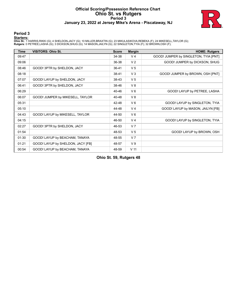# **Official Scoring/Possession Reference Chart Ohio St. vs Rutgers Period 3 January 23, 2022 at Jersey Mike's Arena - Piscataway, NJ**



### **Period 3**

<mark>Startersː</mark><br>Ohio St.: 1 HARRIS,RIKKI (G); 4 SHELDON,JACY (G); 10 MILLER,BRAXTIN (G); 23 MIKULASIKOVA,REBEKA (F); 24 MIKESELL,TAYLOR (G);<br>**Rutgers**: 0 PETREE,LASHA (G); 3 DICKSON,SHUG (G); 14 MASON,JAILYN (G); 22 SINGLETON,

| <b>Time</b> | <b>VISITORS: Ohio St.</b>         | <b>Score</b> | <b>Margin</b>   | <b>HOME: Rutgers</b>                  |
|-------------|-----------------------------------|--------------|-----------------|---------------------------------------|
| 09:47       |                                   | 34-38        | V <sub>4</sub>  | GOOD! JUMPER by SINGLETON, TYIA [PNT] |
| 09:06       |                                   | 36-38        | V <sub>2</sub>  | GOOD! JUMPER by DICKSON, SHUG         |
| 08:46       | GOOD! 3PTR by SHELDON, JACY       | $36 - 41$    | V <sub>5</sub>  |                                       |
| 08:18       |                                   | 38-41        | V <sub>3</sub>  | GOOD! JUMPER by BROWN, OSH [PNT]      |
| 07:07       | GOOD! LAYUP by SHELDON, JACY      | 38-43        | V <sub>5</sub>  |                                       |
| 06:41       | GOOD! 3PTR by SHELDON, JACY       | 38-46        | V8              |                                       |
| 06:29       |                                   | 40-46        | $V_6$           | GOOD! LAYUP by PETREE, LASHA          |
| 06:07       | GOOD! JUMPER by MIKESELL, TAYLOR  | 40-48        | V8              |                                       |
| 05:31       |                                   | 42-48        | $V_6$           | GOOD! LAYUP by SINGLETON, TYIA        |
| 05:10       |                                   | 44-48        | V <sub>4</sub>  | GOOD! LAYUP by MASON, JAILYN [FB]     |
| 04:43       | GOOD! LAYUP by MIKESELL, TAYLOR   | 44-50        | $V_6$           |                                       |
| 04:15       |                                   | 46-50        | V <sub>4</sub>  | GOOD! LAYUP by SINGLETON, TYIA        |
| 02:27       | GOOD! 3PTR by SHELDON, JACY       | 46-53        | V <sub>7</sub>  |                                       |
| 01:54       |                                   | 48-53        | V <sub>5</sub>  | GOOD! LAYUP by BROWN, OSH             |
| 01:30       | GOOD! LAYUP by BEACHAM, TANAYA    | 48-55        | V <sub>7</sub>  |                                       |
| 01:21       | GOOD! LAYUP by SHELDON, JACY [FB] | 48-57        | V <sub>9</sub>  |                                       |
| 00:54       | GOOD! LAYUP by BEACHAM, TANAYA    | 48-59        | V <sub>11</sub> |                                       |

**Ohio St. 59, Rutgers 48**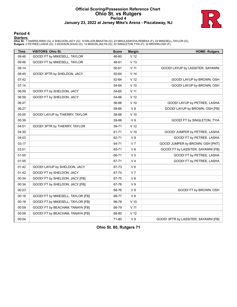# **Official Scoring/Possession Reference Chart Ohio St. vs Rutgers Period 4 January 23, 2022 at Jersey Mike's Arena - Piscataway, NJ**



### **Period 4**

### **Starters:**

**Ohio St.**: 1 HARRIS,RIKKI (G); 4 SHELDON,JACY (G); 10 MILLER,BRAXTIN (G); 23 MIKULASIKOVA,REBEKA (F); 24 MIKESELL,TAYLOR (G);<br>**Rutgers**: 0 PETREE,LASHA (G); 3 DICKSON,SHUG (G); 14 MASON,JAILYN (G); 22 SINGLETON,TYIA (F);

| <b>Time</b> | VISITORS: Ohio St.                | <b>Score</b> | <b>Margin</b>   | <b>HOME: Rutgers</b>                 |
|-------------|-----------------------------------|--------------|-----------------|--------------------------------------|
| 09:46       | GOOD! FT by MIKESELL, TAYLOR      | 48-60        | V <sub>12</sub> |                                      |
| 09:46       | GOOD! FT by MIKESELL, TAYLOR      | 48-61        | V <sub>13</sub> |                                      |
| 09:14       |                                   | 50-61        | V <sub>11</sub> | GOOD! LAYUP by LASSITER, SAYAWNI     |
| 08:45       | GOOD! 3PTR by SHELDON, JACY       | 50-64        | V <sub>14</sub> |                                      |
| 07:42       |                                   | 52-64        | V <sub>12</sub> | GOOD! LAYUP by BROWN, OSH            |
| 07:14       |                                   | 54-64        | $V$ 10          | GOOD! LAYUP by BROWN, OSH            |
| 06:59       | GOOD! FT by SHELDON, JACY         | 54-65        | $V$ 11          |                                      |
| 06:59       | GOOD! FT by SHELDON, JACY         | 54-66        | V <sub>12</sub> |                                      |
| 06:47       |                                   | 56-66        | $V$ 10          | GOOD! LAYUP by PETREE, LASHA         |
| 06:27       |                                   | 58-66        | V8              | GOOD! LAYUP by BROWN, OSH [FB]       |
| 05:55       | GOOD! LAYUP by THIERRY, TAYLOR    | 58-68        | $V$ 10          |                                      |
| 05:39       |                                   | 59-68        | V <sub>9</sub>  | GOOD! FT by SINGLETON, TYIA          |
| 04:51       | GOOD! 3PTR by THIERRY, TAYLOR     | 59-71        | V <sub>12</sub> |                                      |
| 04:30       |                                   | 61-71        | $V$ 10          | GOOD! JUMPER by PETREE, LASHA        |
| 04:03       |                                   | 62-71        | V <sub>9</sub>  | GOOD! FT by PETREE, LASHA            |
| 03:17       |                                   | 64-71        | V <sub>7</sub>  | GOOD! JUMPER by BROWN, OSH [PNT]     |
| 03:01       |                                   | 65-71        | $V_6$           | GOOD! FT by LASSITER, SAYAWNI [FB]   |
| 01:55       |                                   | 66-71        | V <sub>5</sub>  | GOOD! FT by PETREE, LASHA            |
| 01:55       |                                   | 67-71        | V <sub>4</sub>  | GOOD! FT by PETREE, LASHA            |
| 01:42       | GOOD! LAYUP by SHELDON, JACY      | 67-73        | $V_6$           |                                      |
| 01:42       | GOOD! FT by SHELDON, JACY         | 67-74        | V <sub>7</sub>  |                                      |
| 00:34       | GOOD! FT by SHELDON, JACY [FB]    | 67-75        | V8              |                                      |
| 00:34       | GOOD! FT by SHELDON, JACY [FB]    | 67-76        | V <sub>9</sub>  |                                      |
| 00:23       |                                   | 68-76        | V8              | GOOD! FT by BROWN, OSH               |
| 00:18       | GOOD! FT by MIKESELL, TAYLOR [FB] | 68-77        | V <sub>9</sub>  |                                      |
| 00:18       | GOOD! FT by MIKESELL, TAYLOR [FB] | 68-78        | $V$ 10          |                                      |
| 00:09       | GOOD! FT by BEACHAM, TANAYA [FB]  | 68-79        | V <sub>11</sub> |                                      |
| 00:09       | GOOD! FT by BEACHAM, TANAYA [FB]  | 68-80        | V <sub>12</sub> |                                      |
| 00:04       |                                   | 71-80        | V <sub>9</sub>  | GOOD! 3PTR by LASSITER, SAYAWNI [FB] |

**Ohio St. 80, Rutgers 71**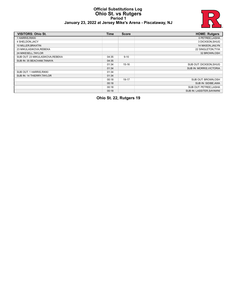### **Official Substitutions Log Ohio St. vs Rutgers Period 1 January 23, 2022 at Jersey Mike's Arena - Piscataway, NJ**



| <b>VISITORS: Ohio St.</b>       | <b>Time</b> | <b>Score</b> | <b>HOME: Rutgers</b>     |
|---------------------------------|-------------|--------------|--------------------------|
| 1 HARRIS.RIKKI                  |             |              | 0 PETREE, LASHA          |
| 4 SHELDON, JACY                 |             |              | 3 DICKSON, SHUG          |
| 10 MILLER, BRAXTIN              |             |              | 14 MASON, JAILYN         |
| 23 MIKULASIKOVA REBEKA          |             |              | 22 SINGLETON, TYIA       |
| 24 MIKESELL, TAYLOR             |             |              | 32 BROWN, OSH            |
| SUB OUT: 23 MIKULASIKOVA.REBEKA | 04:35       | $9 - 10$     |                          |
| SUB IN: 35 BEACHAM, TANAYA      | 04:35       |              |                          |
|                                 | 01:34       | $15 - 16$    | SUB OUT: DICKSON, SHUG   |
|                                 | 01:34       |              | SUB IN: MORRIS, VICTORIA |
| SUB OUT: 1 HARRIS, RIKKI        | 01:34       |              |                          |
| SUB IN: 14 THIERRY.TAYLOR       | 01:34       |              |                          |
|                                 | 00:18       | 19-17        | SUB OUT: BROWN, OSH      |
|                                 | 00:18       |              | SUB IN: SIDIBE, AWA      |
|                                 | 00:18       |              | SUB OUT: PETREE, LASHA   |
|                                 | 00:18       |              | SUB IN: LASSITER.SAYAWNI |

**Ohio St. 22, Rutgers 19**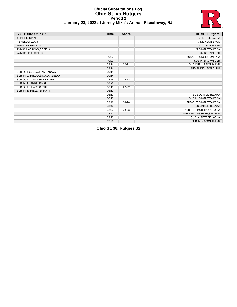### **Official Substitutions Log Ohio St. vs Rutgers Period 2 January 23, 2022 at Jersey Mike's Arena - Piscataway, NJ**



| <b>VISITORS: Ohio St.</b>       | <b>Time</b> | <b>Score</b>             | <b>HOME: Rutgers</b>       |
|---------------------------------|-------------|--------------------------|----------------------------|
| 1 HARRIS, RIKKI                 |             |                          | 0 PETREE, LASHA            |
| 4 SHELDON, JACY                 |             |                          | 3 DICKSON, SHUG            |
| 10 MILLER, BRAXTIN              |             |                          | 14 MASON, JAILYN           |
| 23 MIKULASIKOVA, REBEKA         |             |                          | 22 SINGLETON, TYIA         |
| 24 MIKESELL, TAYLOR             |             |                          | 32 BROWN, OSH              |
|                                 | 10:00       | $\overline{\phantom{a}}$ | SUB OUT: SINGLETON, TYIA   |
|                                 | 10:00       |                          | SUB IN: BROWN, OSH         |
|                                 | 09:14       | $22 - 21$                | SUB OUT: MASON, JAILYN     |
|                                 | 09:14       |                          | SUB IN: DICKSON, SHUG      |
| SUB OUT: 35 BEACHAM, TANAYA     | 09:14       |                          |                            |
| SUB IN: 23 MIKULASIKOVA, REBEKA | 09:14       |                          |                            |
| SUB OUT: 10 MILLER, BRAXTIN     | 08:26       | $22 - 22$                |                            |
| SUB IN: 1 HARRIS, RIKKI         | 08:26       |                          |                            |
| SUB OUT: 1 HARRIS, RIKKI        | 06:13       | $27 - 22$                |                            |
| SUB IN: 10 MILLER, BRAXTIN      | 06:13       |                          |                            |
|                                 | 06:13       |                          | SUB OUT: SIDIBE, AWA       |
|                                 | 06:13       |                          | SUB IN: SINGLETON, TYIA    |
|                                 | 03:46       | 34-28                    | SUB OUT: SINGLETON, TYIA   |
|                                 | 03:46       |                          | SUB IN: SIDIBE, AWA        |
|                                 | 02:20       | 38-28                    | SUB OUT: MORRIS, VICTORIA  |
|                                 | 02:20       |                          | SUB OUT: LASSITER, SAYAWNI |
|                                 | 02:20       |                          | SUB IN: PETREE, LASHA      |
|                                 | 02:20       |                          | SUB IN: MASON, JAILYN      |

**Ohio St. 38, Rutgers 32**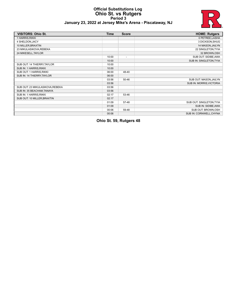### **Official Substitutions Log Ohio St. vs Rutgers Period 3 January 23, 2022 at Jersey Mike's Arena - Piscataway, NJ**



| <b>VISITORS: Ohio St.</b>        | <b>Time</b> | <b>Score</b>             | <b>HOME: Rutgers</b>     |
|----------------------------------|-------------|--------------------------|--------------------------|
| 1 HARRIS, RIKKI                  |             |                          | 0 PETREE, LASHA          |
| 4 SHELDON, JACY                  |             |                          | 3 DICKSON, SHUG          |
| 10 MILLER, BRAXTIN               |             |                          | 14 MASON, JAILYN         |
| 23 MIKULASIKOVA, REBEKA          |             |                          | 22 SINGLETON, TYIA       |
| 24 MIKESELL, TAYLOR              |             |                          | 32 BROWN, OSH            |
|                                  | 10:00       | $\overline{\phantom{a}}$ | SUB OUT: SIDIBE, AWA     |
|                                  | 10:00       |                          | SUB IN: SINGLETON, TYIA  |
| SUB OUT: 14 THIERRY, TAYLOR      | 10:00       |                          |                          |
| SUB IN: 1 HARRIS, RIKKI          | 10:00       |                          |                          |
| SUB OUT: 1 HARRIS, RIKKI         | 06:00       | 48-40                    |                          |
| SUB IN: 14 THIERRY, TAYLOR       | 06:00       |                          |                          |
|                                  | 03:56       | 50-46                    | SUB OUT: MASON, JAILYN   |
|                                  | 03:56       |                          | SUB IN: MORRIS, VICTORIA |
| SUB OUT: 23 MIKULASIKOVA, REBEKA | 03:56       |                          |                          |
| SUB IN: 35 BEACHAM, TANAYA       | 03:56       |                          |                          |
| SUB IN: 1 HARRIS, RIKKI          | 02:17       | 53-46                    |                          |
| SUB OUT: 10 MILLER, BRAXTIN      | 02:17       |                          |                          |
|                                  | 01:09       | 57-48                    | SUB OUT: SINGLETON, TYIA |
|                                  | 01:09       |                          | SUB IN: SIDIBE, AWA      |
|                                  | 00:06       | 59-48                    | SUB OUT: BROWN, OSH      |
|                                  | 00:06       |                          | SUB IN: CORNWELL, CHYNA  |

**Ohio St. 59, Rutgers 48**